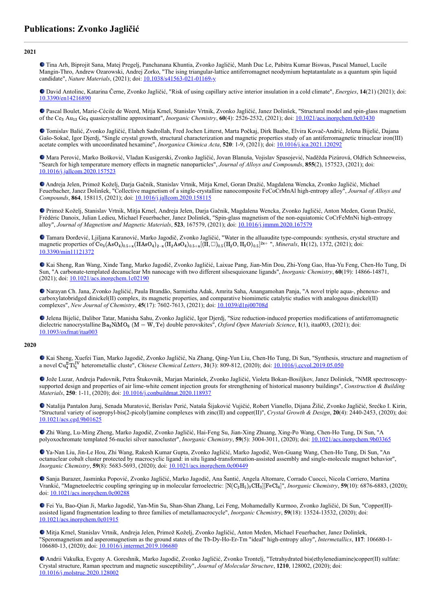**2021**

Tina Arh, Biprojit Sana, Matej Pregelj, Panchanana Khuntia, Zvonko Jagličić, Manh Duc Le, Pabitra Kumar Biswas, Pascal Manuel, Lucile Mangin-Thro, Andrew Ozarowski, Andrej Zorko, "The ising triangular-lattice antiferromagnet neodymium heptatantalate as a quantum spin liquid candidate", *Nature Materials*, (2021); doi: [10.1038/s41563-021-01169-y](https://dx.doi.org/10.1038/s41563-021-01169-y)

David Antolinc, Katarina Černe, Zvonko Jagličić, "Risk of using capillary active interior insulation in a cold climate", *Energies*, **14**(21) (2021); doi: [10.3390/en14216890](https://dx.doi.org/10.3390/en14216890)

Pascal Boulet, Marie-Cécile de Weerd, Mitja Krnel, Stanislav Vrtnik, Zvonko Jagličić, Janez Dolinšek, "Structural model and spin-glass magnetism of the Ce<sub>3</sub> Au<sub>13</sub> Ge<sub>4</sub> quasicrystalline approximant", *Inorganic Chemistry*, **60**(4): 2526-2532, (2021); doi: <u>[10.1021/acs.inorgchem.0c03430](https://dx.doi.org/10.1021/acs.inorgchem.0c03430)</u>

Tomislav Balić, Zvonko Jagličić, Elaheh Sadrollah, Fred Jochen Litterst, Marta Počkaj, Dirk Baabe, Elvira Kovač-Andrić, Jelena Bijelić, Dajana Gašo-Sokač, Igor Djerdj, "Single crystal growth, structural characterization and magnetic properties study of an antiferromagnetic trinuclear iron(III) acetate complex with uncoordinated hexamine", *Inorganica Chimica Acta*, **520**: 1-9, (2021); doi: [10.1016/j.ica.2021.120292](https://dx.doi.org/10.1016/j.ica.2021.120292)

Mara Perović, Marko Bošković, Vladan Kusigerski, Zvonko Jagličić, Jovan Blanuša, Vojislav Spasojević, Naděžda Pizúrová, Oldřich Schneeweiss, "Search for high temperature memory effects in magnetic nanoparticles", *Journal of Alloys and Compounds*, **855**(2), 157523, (2021); doi: [10.1016/j.jallcom.2020.157523](https://dx.doi.org/10.1016/j.jallcom.2020.157523)

Andreja Jelen, Primož Koželj, Darja Gačnik, Stanislav Vrtnik, Mitja Krnel, Goran Dražić, Magdalena Wencka, Zvonko Jagličić, Michael Feuerbacher, Janez Dolinšek, "Collective magnetism of a single-crystalline nanocomposite FeCoCrMnAl high-entropy alloy", *Journal of Alloys and Compounds*, **864**, 158115, (2021); doi: [10.1016/j.jallcom.2020.158115](https://dx.doi.org/10.1016/j.jallcom.2020.158115)

Primož Koželj, Stanislav Vrtnik, Mitja Krnel, Andreja Jelen, Darja Gačnik, Magdalena Wencka, Zvonko Jagličić, Anton Meden, Goran Dražić, Frédéric Danoix, Julian Ledieu, Michael Feuerbacher, Janez Dolinšek, "Spin-glass magnetism of the non-equiatomic CoCrFeMnNi high-entropy alloy", *Journal of Magnetism and Magnetic Materials*, **523**, 167579, (2021); doi: [10.1016/j.jmmm.2020.167579](https://dx.doi.org/10.1016/j.jmmm.2020.167579)

Tamara Đorđević, Ljiljana Karanović, Marko Jagodič, Zvonko Jagličić, "Water in the alluaudite type-compounds: synthesis, crystal structure and magnetic properties of  $\rm{Co}_3(AsO_4)_{0.5+x}(HAsO_4)_{2-x}(H_2AsO_4)_{0.5+x}[(H, \Box)_{0.5}(H_2O, H_3O)_{0.5}]^{2x}$ , *Minerals*, **11**(12), 1372, (2021); doi: [10.3390/min11121372](https://dx.doi.org/10.3390/min11121372)

Kai Sheng, Ran Wang, Xinde Tang, Marko Jagodič, Zvonko Jagličić, Laixue Pang, Jian-Min Dou, Zhi-Yong Gao, Hua-Yu Feng, Chen-Ho Tung, Di Sun, "A carbonate-templated decanuclear Mn nanocage with two different silsesquioxane ligands", *Inorganic Chemistry*, **60**(19): 14866-14871, (2021); doi: [10.1021/acs.inorgchem.1c02190](https://dx.doi.org/10.1021/acs.inorgchem.1c02190)

Narayan Ch. Jana, Zvonko Jagličić, Paula Brandão, Sarmistha Adak, Amrita Saha, Anangamohan Panja, "A novel triple aqua-, phenoxo- and carboxylatobridged dinickel(II) complex, its magnetic properties, and comparative biomimetic catalytic studies with analogous dinickel(II) complexes", *New Journal of Chemistry*, **45**(17): 7602-7613, (2021); doi: [10.1039/d1nj00708d](https://dx.doi.org/10.1039/d1nj00708d)

Jelena Bijelić, Dalibor Tatar, Manisha Sahu, Zvonko Jagličić, Igor Djerdj, "Size reduction-induced properties modifications of antiferromagnetic dielectric nanocrystalline Ba<sub>2</sub>NiMO<sub>6</sub> (M = W, Te) double perovskites", *Oxford Open Materials Science*, **1**(1), itaa003, (2021); doi: [10.1093/oxfmat/itaa003](https://dx.doi.org/10.1093/oxfmat/itaa003)

## **2020**

Kai Sheng, Xuefei Tian, Marko Jagodič, Zvonko Jagličić, Na Zhang, Qing-Yun Liu, Chen-Ho Tung, Di Sun, "Synthesis, structure and magnetism of a novel  $\text{Cu}_4^{\text{IT}}\text{Ti}_5^{\text{IV}}$  heterometallic cluste", *Chinese Chemical Letters*, **31**(3): 809-812, (2020); doi: <u>[10.1016/j.ccvol.2019.05.050](https://dx.doi.org/10.1016/j.ccvol.2019.05.050)</u>

Jože Luzar, Andreja Padovnik, Petra Štukovnik, Marjan Marinšek, Zvonko Jagličić, Violeta Bokan-Bosiljkov, Janez Dolinšek, "NMR spectroscopysupported design and properties of air lime-white cement injection grouts for strengthening of historical masonry buildings", *Construction & Building Materials*, **250**: 1-11, (2020); doi: [10.1016/j.conbuildmat.2020.118937](https://dx.doi.org/10.1016/j.conbuildmat.2020.118937)

Natalija Pantalon Juraj, Senada Muratović, Berislav Perić, Nataša Šijaković Vujičić, Robert Vianello, Dijana Žilić, Zvonko Jagličić, Srećko I. Kirin, "Structural variety of isopropyl-bis(2-picolyl)amine complexes with zinc(II) and copper(II)", *Crystal Growth & Design*, **20**(4): 2440-2453, (2020); doi: [10.1021/acs.cgd.9b01625](https://dx.doi.org/10.1021/acs.cgd.9b01625)

Zhi Wang, Lu-Ming Zheng, Marko Jagodič, Zvonko Jagličić, Hai-Feng Su, Jian-Xing Zhuang, Xing-Po Wang, Chen-Ho Tung, Di Sun, "A polyoxochromate templated 56-nuclei silver nanocluster", *Inorganic Chemistry*, **59**(5): 3004-3011, (2020); doi: [10.1021/acs.inorgchem.9b03365](https://dx.doi.org/10.1021/acs.inorgchem.9b03365)

Ya-Nan Liu, Jin-Le Hou, Zhi Wang, Rakesh Kumar Gupta, Zvonko Jagličić, Marko Jagodič, Wen-Guang Wang, Chen-Ho Tung, Di Sun, "An octanuclear cobalt cluster protected by macrocyclic ligand: in situ ligand-transformation-assisted assembly and single-molecule magnet behavior", *Inorganic Chemistry*, **59**(8): 5683-5693, (2020); doi: [10.1021/acs.inorgchem.0c00449](https://dx.doi.org/10.1021/acs.inorgchem.0c00449)

Sanja Burazer, Jasminka Popović, Zvonko Jagličić, Marko Jagodič, Ana Šantić, Angela Altomare, Corrado Cuocci, Nicola Corriero, Martina Vrankić, "Magnetoelectric coupling springing up in molecular ferroelectric: [N(C<sub>2</sub>H<sub>5</sub>)<sub>3</sub>CH<sub>3</sub>][FeCl<sub>4</sub>]", *Inorganic Chemistry*, **59**(10): 6876-6883, (2020); doi: [10.1021/acs.inorgchem.0c00288](https://dx.doi.org/10.1021/acs.inorgchem.0c00288)

Fei Yu, Bao-Qian Ji, Marko Jagodič, Yan-Min Su, Shan-Shan Zhang, Lei Feng, Mohamedally Kurmoo, Zvonko Jagličić, Di Sun, "Copper(II) assisted ligand fragmentation leading to three families of metallamacrocycle", *Inorganic Chemistry*, **59**(18): 13524-13532, (2020); doi: [10.1021/acs.inorgchem.0c01915](https://dx.doi.org/10.1021/acs.inorgchem.0c01915)

Mitja Krnel, Stanislav Vrtnik, Andreja Jelen, Primož Koželj, Zvonko Jagličić, Anton Meden, Michael Feuerbacher, Janez Dolinšek, "Speromagnetism and asperomagnetism as the ground states of the Tb-Dy-Ho-Er-Tm "ideal" high-entropy alloy", *Intermetallics*, **117**: 106680-1- 106680-13, (2020); doi: [10.1016/j.intermet.2019.106680](https://dx.doi.org/10.1016/j.intermet.2019.106680)

Andrii Vakulka, Evgeny A. Goreshnik, Marko Jagodič, Zvonko Jagličić, Zvonko Trontelj, "Tetrahydrated bis(ethylenediamine)copper(II) sulfate: Crystal structure, Raman spectrum and magnetic susceptibility", *Journal of Molecular Structure*, **1210**, 128002, (2020); doi: [10.1016/j.molstruc.2020.128002](https://dx.doi.org/10.1016/j.molstruc.2020.128002)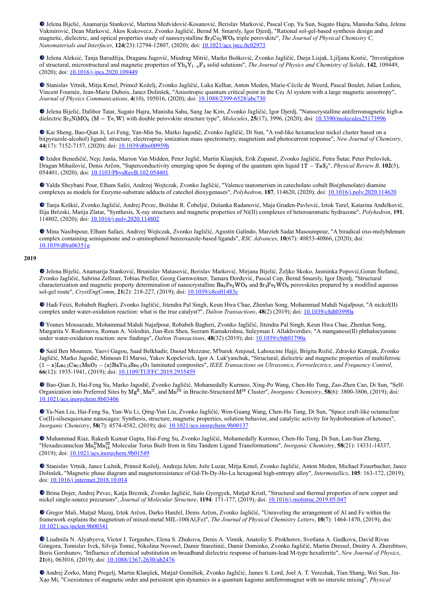Jelena Bijelić, Anamarija Stanković, Martina Medvidović-Kosanović, Berislav Marković, Pascal Cop, Yu Sun, Sugato Hajra, Manisha Sahu, Jelena Vukmirović, Dean Marković, Ákos Kukovecz, Zvonko Jagličić, Bernd M. Smarsly, Igor Djerdj, "Rational sol-gel-based synthesis design and magnetic, dielectric, and optical properties study of nanocrystalline Sr<sub>3</sub>Co<sub>2</sub>WO<sub>9</sub> triple perovskite", *The Journal of Physical Chemistry C*, *Nanomaterials and Interfaces*, **124**(23):12794-12807, (2020); doi: [10.1021/acs.jpcc.0c02973](https://dx.doi.org/10.1021/acs.jpcc.0c02973)

Jelena Aleksić, Tanja Barudžija, Dragana Jugović, Miodrag Mitrić, Marko Bošković, Zvonko Jagličić, Darja Lisjak, Ljiljana Kostić, "Investigation of structural, microstructural and magnetic properties of Yb<sub>x</sub>Y<sub>1−x</sub>F<sub>3</sub> solid solutions", *The Journal of Physics and Chemistry of Solids*, **142**, 109449, (2020); doi: [10.1016/j.jpcs.2020.109449](https://dx.doi.org/10.1016/j.jpcs.2020.109449)

Stanislav Vrtnik, Mitja Krnel, Primož Koželj, Zvonko Jagličić, Luka Kelhar, Anton Meden, Marie-Cécile de Weerd, Pascal Boulet, Julian Ledieu, Vincent Fournée, Jean-Marie Dubois, Janez Dolinšek, "Anisotropic quantum critical point in the Ce<sub>3</sub> Al system with a large magnetic anisotropy", *Journal of Physics Communications*, **4**(10), 105016, (2020); doi: [10.1088/2399-6528/abc730](https://dx.doi.org/10.1088/2399-6528/abc730)

Jelena Bijelić, Dalibor Tatar, Sugato Hajra, Manisha Sahu, Sang Jae Kim, Zvonko Jagličić, Igor Djerdj, "Nanocrystalline antiferromagnetic high-κ dielectric  $Sr_2NiMO_6$  (M = Te, W) with double perovskite structure type", *Molecules*, **25**(17), 3996, (2020); doi:  $10.3390/molecules25173996$ 

Kai Sheng, Bao-Qian Ji, Lei Feng, Yan-Min Su, Marko Jagodič, Zvonko Jagličić, Di Sun, "A rod-like hexanuclear nickel cluster based on a bi(pyrazole-alcohol) ligand: structure, electrospray ionization mass spectrometry, magnetism and photocurrent response", *New Journal of Chemistry*, **44**(17): 7152-7157, (2020); doi: [10.1039/d0nj00959h](https://dx.doi.org/10.1039/d0nj00959h)

Izidor Benedičič, Nejc Janša, Marion Van Midden, Peter Jeglič, Martin Klanjšek, Erik Zupanič, Zvonko Jagličić, Petra Šutar, Peter Prelovšek, Dragan Mihailović, Denis Arčon, "Superconductivity emerging upon Se doping of the quantum spin liquid 1T – TaS<sub>2</sub>", *Physical Review B*, **102**(5), 054401, (2020); doi: [10.1103/PhysRevB.102.054401](https://dx.doi.org/10.1103/PhysRevB.102.054401)

Yalda Sheybani Pour, Elham Safei, Andrzej Wojtczak, Zvonko Jagličić, "Valence tautomerism in catecholato cobalt Bis(phenolate) diamine complexes as models for Enzyme-substrate adducts of catechol dioxygenases", *Polyhedron*, **187**, 114620, (2020); doi: [10.1016/j.poly.2020.114620](https://dx.doi.org/10.1016/j.poly.2020.114620)

Tanja Keškić, Zvonko Jagličić, Andrej Pevec, Božidar R. Čobeljić, Dušanka Radanović, Maja Gruden-Pavlović, Iztok Turel, Katarina Anđelković, Ilija Brčeski, Matija Zlatar, "Synthesis, X-ray structures and magnetic properties of Ni(II) complexes of heteroaromatic hydrazone", *Polyhedron*, **191**, 114802, (2020); doi: [10.1016/j.poly.2020.114802](https://dx.doi.org/10.1016/j.poly.2020.114802)

Mina Nasibipour, Elham Safaei, Andrzej Wojtczak, Zvonko Jagličić, Agustín Galíndo, Marzieh Sadat Masoumpour, "A biradical oxo-molybdenum complex containing semiquinone and o-aminophenol benzoxazole-based ligands", *RSC Advances*, **10**(67): 40853-40866, (2020); doi: [10.1039/d0ra06351g](https://dx.doi.org/10.1039/d0ra06351g)

## **2019**

Jelena Bijelić, Anamarija Stanković, Brunislav Matasović, Berislav Marković, Mirjana Bijelić, Željko Skoko, Jasminka Popović,Goran Štefanić, Zvonko Jagličić, Sabrina Zellmer, Tobias Preller, Georg Garnweitner, Tamara Đorđević, Pascal Cop, Bernd Smarsly, Igor Djerdj, "Structural characterization and magnetic property determination of nanocrystalline  $Ba_3Fe_2WO_9$  and  $Sr_3Fe_2WO_9$  perovskites prepared by a modified aqueous sol-gel route", *CrystEngComm*, **21**(2): 218-227, (2019); doi: [10.1039/c8ce01483c](https://dx.doi.org/10.1039/c8ce01483c)

Hadi Feizi, Robabeh Bagheri, Zvonko Jagličić, Jitendra Pal Singh, Keun Hwa Chae, Zhenlun Song, Mohammad Mahdi Najafpour, "A nickel(II) complex under water-oxidation reaction: what is the true catalyst?", *Dalton Transactions*, **48**(2) (2019); doi: [10.1039/c8dt03990a](https://dx.doi.org/10.1039/c8dt03990a)

Younes Mousazade, Mohammad Mahdi Najafpour, Robabeh Bagheri, Zvonko Jagličić, Jitendra Pal Singh, Keun Hwa Chae, Zhenlun Song, Margarita V. Rodionova, Roman A. Voloshin, Jian-Ren Shen, Seeram Ramakrishna, Suleyman I. Allakhverdiev, "A manganese(II) phthalocyanine under water-oxidation reaction: new findings", *Dalton Transactions*, 48(32) (2019); doi:  $\frac{10.1039/c9d01790a}{10.1039/c9d01790a}$ 

Said Ben Moumen, Yaovi Gagou, Saad Belkhadir, Daoud Mezzane, M'barek Amjoud, Lahoucine Hajji, Brigita Rožič, Zdravko Kutnjak, Zvonko Jagličić, Marko Jagodič, Mimoun El Marssi, Yakov Kopelevich, Igor A. Luk'yanchuk, "Structural, dielectric and magnetic properties of multiferroic laminated composites", *IEEE Transactions on Ultrasonics, Ferroelectrics, and Frequency Control*, (1 − x)La0.5Ca0.5MnO<sup>3</sup> − (x)BaTi0.8Sn0.2O<sup>3</sup> **66**(12): 1935-1941, (2019); doi: [10.1109/TUFFC.2019.2935459](https://dx.doi.org/10.1109/TUFFC.2019.2935459)

Bao-Qian Ji, Hai-Feng Su, Marko Jagodič, Zvonko Jagličić, Mohamedally Kurmoo, Xing-Po Wang, Chen-Ho Tung, Zao-Zhen Cao, Di Sun, "Self-Organization into Preferred Sites by  $Mg^{II}$ ,  $Mn^{II}$ , and  $Mn^{III}$  in Brucite-Structured  $M^{19}$  Cluster", *Inorganic Chemistry*, **58**(6): 3800-3806, (2019); doi: [10.1021/acs.inorgchem.8b03406](https://dx.doi.org/10.1021/acs.inorgchem.8b03406)

Ya-Nan Liu, Hai-Feng Su, Yun-Wu Li, Qing-Yun Liu, Zvonko Jagličić, Wen-Guang Wang, Chen-Ho Tung, Di Sun, "Space craft-like octanuclear Co(II)-silsesquioxane nanocages: Synthesis, structure, magnetic properties, solution behavior, and catalytic activity for hydroboration of ketones", *Inorganic Chemistry*, **58**(7): 4574-4582, (2019); doi: [10.1021/acs.inorgchem.9b00137](https://dx.doi.org/10.1021/acs.inorgchem.9b00137)

Muhammad Riaz, Rakesh Kumar Gupta, Hai-Feng Su, Zvonko Jagličić, Mohamedally Kurmoo, Chen-Ho Tung, Di Sun, Lan-Sun Zheng, "Hexadecanuclear Mn<sup>II</sup>Mn<sup>III</sup> Molecular Torus Built from in Situ Tandem Ligand Transformations", *Inorganic Chemistry*, **58**(21): 14331-14337, (2019); doi: [10.1021/acs.inorgchem.9b01549](https://dx.doi.org/10.1021/acs.inorgchem.9b01549)

Stanislav Vrtnik, Janez Lužnik, Primož Koželj, Andreja Jelen, Jože Luzar, Mitja Krnel, Zvonko Jagličić, Anton Meden, Michael Feuerbacher, Janez Dolinšek, "Magnetic phase diagram and magnetoresistance of Gd-Tb-Dy-Ho-Lu hexagonal high-entropy alloy", *Intermetallics*, **105**: 163-172, (2019); doi: [10.1016/j.intermet.2018.10.014](https://dx.doi.org/10.1016/j.intermet.2018.10.014)

Brina Dojer, Andrej Pevec, Katja Breznik, Zvonko Jagličić, Sašo Gyergyek, Matjaž Kristl, "Structural and thermal properties of new copper and nickel single-source precursors", *Journal of Molecular Structure*, **1194**: 171-177, (2019); doi: [10.1016/j.molstruc.2019.05.047](https://dx.doi.org/10.1016/j.molstruc.2019.05.047)

Gregor Mali, Matjaž Mazaj, Iztok Arčon, Darko Hanžel, Denis Arčon, Zvonko Jagličić, "Unraveling the arrangement of Al and Fe within the framework explains the magnetism of mixed-metal MIL-100(Al,Fe)", *The Journal of Physical Chemistry Letters*, **10**(7): 1464-1470, (2019); doi: [10.1021/acs.jpclett.9b00341](https://dx.doi.org/10.1021/acs.jpclett.9b00341)

Liudmila N. Alyabyeva, Victor I. Torgashev, Elena S. Zhukova, Denis A. Vinnik, Anatoliy S. Prokhorov, Svetlana A. Gudkova, David Rivas Góngora, Tomislav Ivek, Silvija Tomić, Nikolina Novosel, Damir Starešinić, Damir Dominko, Zvonko Jagličić, Martin Dressel, Dmitry A. Zherebtsov, Boris Gorshunov, "Influence of chemical substitution on broadband dielectric response of barium-lead M-type hexaferrite", *New Journal of Physics*, **21**(6), 063016, (2019); doi: [10.1088/1367-2630/ab2476](https://dx.doi.org/10.1088/1367-2630/ab2476)

Andrej Zorko, Matej Pregelj, Martin Klanjšek, Matjaž Gomilšek, Zvonko Jagličić, James S. Lord, Joel A. T. Verezhak, Tian Shang, Wei Sun, Jin-Xao Mi, "Coexistence of magnetic order and persistent spin dynamics in a quantum kagome antiferromagnet with no intersite mixing", *Physical*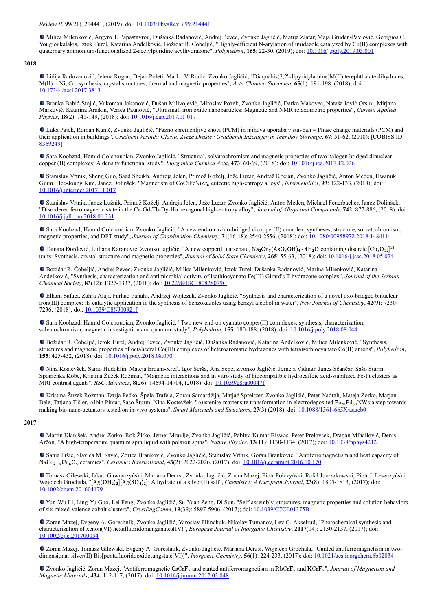*Review B*, **99**(21), 214441, (2019); doi: [10.1103/PhysRevB.99.214441](https://dx.doi.org/10.1103/PhysRevB.99.214441)

Milica Milenković, Argyro T. Papastavrou, Dušanka Radanović, Andrej Pevec, Zvonko Jagličić, Matija Zlatar, Maja Gruden-Pavlović, Georgios C. Vougioukalakis, Iztok Turel, Katarina Anđelković, Božidar R. Čobeljić, "Highly-efficient N-arylation of imidazole catalyzed by Cu(II) complexes with quaternary ammonium-functionalized 2-acetylpyridine acylhydrazone", *Polyhedron*, **165**: 22-30, (2019); doi: [10.1016/j.poly.2019.03.001](https://dx.doi.org/10.1016/j.poly.2019.03.001)

# **2018**

Lidija Radovanović, Jelena Rogan, Dejan Poleti, Marko V. Rodić, Zvonko Jagličić, "Diaquabis(2,2'-dipyridylamine)M(II) terephthalate dihydrates, M(II) = Ni, Co: synthesis, crystal structures, thermal and magnetic properties", *Acta Chimica Slovenica*, **65**(1): 191-198, (2018); doi: [10.17344/acsi.2017.3813](https://dx.doi.org/10.17344/acsi.2017.3813)

Branka Babić-Stojić, Vukoman Jokanović, Dušan Milivojević, Miroslav Požek, Zvonko Jagličić, Darko Makovec, Nataša Jović Orsini, Mirjana Marković, Katarina Arsikin, Verica Paunović, "Ultrasmall iron oxide nanoparticles: Magnetic and NMR relaxometric properties", *Current Applied Physics*, **18**(2): 141-149, (2018); doi: [10.1016/j.cap.2017.11.017](https://dx.doi.org/10.1016/j.cap.2017.11.017)

Luka Pajek, Roman Kunič, Zvonko Jagličić, "Fazno spremenljive snovi (PCM) in njihova uporaba v stavbah = Phase change materials (PCM) and their application in buildings", *Gradbeni Vestnik: Glasilo Zveze Društev Gradbenih Inženirjev in Tehnikov Slovenije*, **67**: 51-62, (2018); [COBISS ID [8369249\]](https://plus.si.cobiss.net/opac7/bib/8369249?lang=en)

Sara Koohzad, Hamid Golchoubian, Zvonko Jagličić, "Structural, solvatochromism and magnetic properties of two halogen bridged dinuclear copper (II) complexes: A density functional study", *Inorganica Chimica Acta*, **473**: 60-69, (2018); doi: [10.1016/j.ica.2017.12.026](https://dx.doi.org/10.1016/j.ica.2017.12.026)

Stanislav Vrtnik, Sheng Guo, Saad Sheikh, Andreja Jelen, Primož Koželj, Jože Luzar, Andraž Kocjan, Zvonko Jagličić, Anton Meden, Hwanuk Guim, Hee-Joung Kim, Janez Dolinšek, "Magnetism of CoCrFeNiZr<sub>x</sub> eutectic high-entropy alloys", *Intermetallics*, 93: 122-133, (2018); doi: [10.1016/j.intermet.2017.11.017](https://dx.doi.org/10.1016/j.intermet.2017.11.017)

Stanislav Vrtnik, Janez Lužnik, Primož Koželj, Andreja Jelen, Jože Luzar, Zvonko Jagličić, Anton Meden, Michael Feuerbacher, Janez Dolinšek, "Disordered ferromagnetic state in the Ce-Gd-Tb-Dy-Ho hexagonal high-entropy alloy", *Journal of Alloys and Compounds*, **742**: 877-886, (2018); doi: [10.1016/j.jallcom.2018.01.331](https://dx.doi.org/10.1016/j.jallcom.2018.01.331)

Sara Koohzad, Hamid Golchoubian, Zvonko Jagličić, "A new end-on azido-bridged dicopper(II) complex; syntheses, structure, solvatochromism, magnetic properties, and DFT study", *Journal of Coordination Chemistry*, **71**(16-18): 2540-2556, (2018); doi: [10.1080/00958972.2018.1484114](https://dx.doi.org/10.1080/00958972.2018.1484114)

Tamara Đorđević, Ljiljana Karanović, Zvonko Jagličić, "A new copper(II) arsenate,  $\text{Na}_2\text{Cu}_3(\text{AsO}_3\text{OH})_4 \cdot 4\text{H}_2\text{O}$  containing discrete  $[\text{Cu}_3\text{O}_{12}]^{18-}$ units: Synthesis, crystal structure and magnetic properties", *Journal of Solid State Chemistry*, **265**: 55-63, (2018); doi: [10.1016/j.jssc.2018.05.024](https://dx.doi.org/10.1016/j.jssc.2018.05.024)

Božidar R. Čobeljić, Andrej Pevec, Zvonko Jagličić, Milica Milenković, Iztok Turel, Dušanka Radanović, Marina Milenković, Katarina Anđelković, "Synthesis, characterization and antimicrobial activity of isothiocyanato Fe(III) Girard's T hydrazone complex", *Journal of the Serbian Chemical Society*, **83**(12): 1327-1337, (2018); doi: [10.2298/JSC180828079C](https://dx.doi.org/10.2298/JSC180828079C)

Elham Safaei, Zahra Alaji, Farhad Panahi, Andrzej Wojtczak, Zvonko Jagličić, "Synthesis and characterization of a novel oxo-bridged binuclear iron(III) complex: its catalytic application in the synthesis of benzoxazoles using benzyl alcohol in water", *New Journal of Chemistry*, **42**(9): 7230- 7236, (2018); doi: [10.1039/C8NJ00921J](https://dx.doi.org/10.1039/C8NJ00921J)

Sara Koohzad, Hamid Golchoubian, Zvonko Jagličić, "Two new end-on cyanato copper(II) complexes; synthesis, characterization, solvatochromism, magnetic investigation and quantum study", *Polyhedron*, **155**: 180-188, (2018); doi: [10.1016/j.poly.2018.08.044](https://dx.doi.org/10.1016/j.poly.2018.08.044)

Božidar R. Čobeljić, Iztok Turel, Andrej Pevec, Zvonko Jagličić, Dušanka Radanović, Katarina Anđelković, Milica Milenković, "Synthesis, structures and magnetic properties of octahedral Co(III) complexes of heteroaromatic hydrazones with tetraisothiocyanato Co(II) anions", *Polyhedron*, **155**: 425-432, (2018); doi: [10.1016/j.poly.2018.08.070](https://dx.doi.org/10.1016/j.poly.2018.08.070)

Nina Kostevšek, Samo Hudoklin, Mateja Erdani-Kreft, Igor Serša, Ana Sepe, Zvonko Jagličić, Jerneja Vidmar, Janez Ščančar, Sašo Šturm, Spomenka Kobe, Kristina Žužek Rožman, "Magnetic interactions and in vitro study of biocompatible hydrocaffeic acid-stabilized Fe-Pt clusters as MRI contrast agents", *RSC Advances*, **8**(26): 14694-14704, (2018); doi: [10.1039/c8ra00047f](https://dx.doi.org/10.1039/c8ra00047f)

Kristina Žužek Rožman, Darja Pečko, Špela Trafela, Zoran Samardžija, Matjaž Spreitzer, Zvonko Jagličić, Peter Nadrah, Mateja Zorko, Marjan Bele, Tatjana Tišler, Albin Pintar, Sašo Šturm, Nina Kostevšek, "Austenite-martensite transformation in electrodeposited  $Fe_{70}Pd_{30}NWs$ : a step towards making bio-nano-actuators tested on in-vivo systems", *Smart Materials and Structures*, **27**(3) (2018); doi: [10.1088/1361-665X/aaacb0](https://dx.doi.org/10.1088/1361-665X/aaacb0)

### **2017**

Martin Klanjšek, Andrej Zorko, Rok Žitko, Jernej Mravlje, Zvonko Jagličić, Pabitra Kumar Biswas, Peter Prelovšek, Dragan Mihailović, Denis Arčon, "A high-temperature quantum spin liquid with polaron spins", *Nature Physics*, **13**(11): 1130-1134, (2017); doi: [10.1038/nphys4212](https://dx.doi.org/10.1038/nphys4212)

Sanja Pršić, Slavica M. Savić, Zorica Branković, Zvonko Jagličić, Stanislav Vrtnik, Goran Branković, "Antiferromagnetism and heat capacity of NaCo<sub>2−x</sub>Cu<sub>x</sub>O<sub>4</sub> ceramics", *Ceramics International*, **43**(2): 2022-2026, (2017); doi: <u>[10.1016/j.ceramint.2016.10.170](https://dx.doi.org/10.1016/j.ceramint.2016.10.170)</u>

Tomasz Gilewski, Jakub Gawraczyński, Mariana Derzsi, Zvonko Jagličić, Zoran Mazej, Piotr Połczyński, Rafał Jurczakowski, Piotr J. Leszczyński, Wojciech Grochala, "[Ag(OH<sub>2</sub>)<sub>2</sub>][Ag(SO<sub>4</sub>)<sub>2</sub>]: A hydrate of a silver(II) salt", *Chemistry: A European Journal*, **23**(8): 1805-1813, (2017); doi: [10.1002/chem.201604179](https://dx.doi.org/10.1002/chem.201604179)

Yun-Wu Li, Ling-Yu Guo, Lei Feng, Zvonko Jagličić, Su-Yuan Zeng, Di Sun, "Self-assembly, structures, magnetic properties and solution behaviors of six mixed-valence cobalt clusters", *CrystEngComm*, **19**(39): 5897-5906, (2017); doi: [10.1039/C7CE01375B](https://dx.doi.org/10.1039/C7CE01375B)

Zoran Mazej, Evgeny A. Goreshnik, Zvonko Jagličić, Yaroslav Filinchuk, Nikolay Tumanov, Lev G. Akselrud, "Photochemical synthesis and characterization of xenon(VI) hexafluoridomanganates(IV)", *European Journal of Inorganic Chemistry*, **2017**(14): 2130-2137, (2017); doi: [10.1002/ejic.201700054](https://dx.doi.org/10.1002/ejic.201700054)

Zoran Mazej, Tomasz Gilewski, Evgeny A. Goreshnik, Zvonko Jagličić, Mariana Derzsi, Wojciech Grochala, "Canted antiferromagnetism in twodimensional silver(II) Bis[pentafluoridooxidotungstate(VI)]", *Inorganic Chemistry*, **56**(1): 224-233, (2017); doi: [10.1021/acs.inorgchem.6b02034](https://dx.doi.org/10.1021/acs.inorgchem.6b02034)

Zvonko Jagličić, Zoran Mazej, "Antiferromagnetic CsCrF<sub>5</sub> and canted antiferromagnetism in RbCrF<sub>5</sub> and KCrF<sub>5</sub>", *Journal of Magnetism and Magnetic Materials*, **434**: 112-117, (2017); doi: [10.1016/j.jmmm.2017.03.048](https://dx.doi.org/10.1016/j.jmmm.2017.03.048)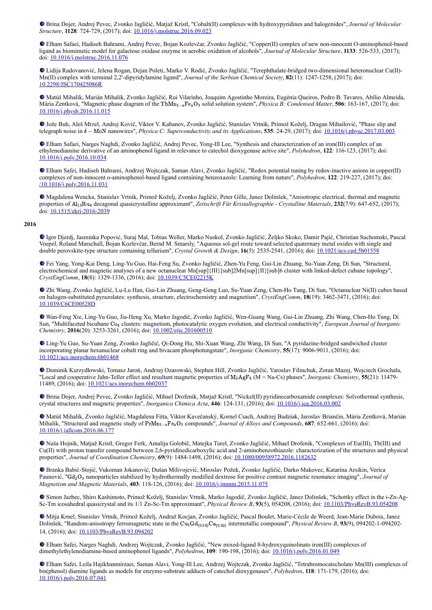Brina Dojer, Andrej Pevec, Zvonko Jagličić, Matjaž Kristl, "Cobalt(II) complexes with hydroxypyridines and halogenides", *Journal of Molecular Structure*, **1128**: 724-729, (2017); doi: [10.1016/j.molstruc.2016.09.023](https://dx.doi.org/10.1016/j.molstruc.2016.09.023)

Elham Safaei, Hadiseh Bahrami, Andrej Pevec, Bojan Kozlevčar, Zvonko Jagličić, "Copper(II) complex of new non-innocent O-aminophenol-based ligand as biomimetic model for galactose oxidase enzyme in aerobic oxidation of alcohols", *Journal of Molecular Structure*, **1133**: 526-533, (2017); doi: [10.1016/j.molstruc.2016.11.076](https://dx.doi.org/10.1016/j.molstruc.2016.11.076)

Lidija Radovanović, Jelena Rogan, Dejan Poleti, Marko V. Rodić, Zvonko Jagličić, "Terephthalate-bridged two-dimensional heteronuclear Cu(II)- Mn(II) complex with terminal 2,2'-dipyridylamine ligand", *Journal of the Serbian Chemical Society*, **82**(11): 1247-1258, (2017); doi: [10.2298/JSC170425086R](https://dx.doi.org/10.2298/JSC170425086R)

Matúš Mihalik, Marián Mihalik, Zvonko Jagličić, Rui Vilarinho, Joaquim Agostinho Moreira, Eugénia Queiros, Pedro B. Tavares, Abílio Almeida, Mária Zentková, "Magnetic phase diagram of the TbMn<sub>1</sub><sub>-x</sub>Fe<sub>x</sub>O<sub>3</sub> solid solution system", *Physica B: Condensed Matter*, **506**: 163-167, (2017); doi: [10.1016/j.physb.2016.11.015](http://dx.doi.org/10.1016/j.physb.2016.11.015)

Jože Buh, Aleš Mrzel, Andrej Kovič, Viktor V. Kabanov, Zvonko Jagličić, Stanislav Vrtnik, Primož Koželj, Dragan Mihailović, "Phase slip and telegraph noise in  $\delta$  – MoN nanowires", *Physica C: Superconductivity and its Applications*, **535**: 24-29, (2017); doi:  $10.1016/j$ .physc.2017.03.003

Elham Safaei, Narges Naghdi, Zvonko Jagličić, Andrej Pevec, Yong-Ill Lee, "Synthesis and characterization of an iron(III) complex of an ethylenediamine derivative of an aminophenol ligand in relevance to catechol dioxygenase active site", *Polyhedron*, **122**: 116-123, (2017); doi: [10.1016/j.poly.2016.10.034](https://dx.doi.org/10.1016/j.poly.2016.10.034)

Elham Safei, Hadiseh Bahrami, Andrzej Wojtczak, Saman Alavi, Zvonko Jagličić, "Redox potential tuning by redox-inactive anions in copper(II) complexes of non-innocent o-aminophenol-based ligand containing benzoxazole: Learning from nature", *Polyhedron*, **122**: 219-227, (2017); doi: [/10.1016/j.poly.2016.11.031](https://dx.doi.org//10.1016/j.poly.2016.11.031)

Magdalena Wencka, Stanislav Vrtnik, Primož Koželj, Zvonko Jagličić, Peter Gille, Janez Dolinšek, "Anisotropic electrical, thermal and magnetic properties of Al<sub>13</sub>Ru<sub>4</sub> decagonal quasicrystalline approximant", Zeitschrift Für Kristallographie - Crystalline Materials, 232(7/9): 647-652, (2017); doi: [10.1515/zkri-2016-2039](https://dx.doi.org/10.1515/zkri-2016-2039)

### **2016**

Igor Djerdj, Jasminka Popović, Suraj Mal, Tobias Weller, Marko Nuskol, Zvonko Jagličić, Željko Skoko, Damir Pajić, Christian Suchomski, Pascal Voepel, Roland Marschall, Bojan Kozlevčar, Bernd M. Smarsly, "Aqueous sol-gel route toward selected quaternary metal oxides with single and double perovskite-type structure containing tellurium", *Crystal Growth & Design*, **16**(5): 2535-2541, (2016); doi: [10.1021/acs.cgd.5b01558](https://dx.doi.org/10.1021/acs.cgd.5b01558)

Fei Yang, Yong-Kai Deng, Ling-Yu Guo, Hai-Feng Su, Zvonko Jagličić, Zhen-Yu Feng, Gui-Lin Zhuang, Su-Yuan Zeng, Di Sun, "Structural, electrochemical and magnetic analyses of a new octanuclear Mn[sup]{III}[sub]2Mn[sup]{II}[sub]6 cluster with linked-defect cubane topology", *CrystEngComm*, **18**(8): 1329-1336, (2016); doi: [10.1039/C5CE02215K](https://dx.doi.org/10.1039/C5CE02215K)

Zhi Wang, Zvonko Jagličić, Lu-Lu Han, Gui-Lin Zhuang, Geng-Geng Luo, Su-Yuan Zeng, Chen-Ho Tung, Di Sun, "Octanuclear Ni(II) cubes based on halogen-substituted pyrazolates: synthesis, structure, electrochemistry and magnetism", *CrystEngComm*, **18**(19): 3462-3471, (2016); doi: [10.1039/C6CE00528D](https://dx.doi.org/10.1039/C6CE00528D)

Wan-Feng Xie, Ling-Yu Guo, Jia-Heng Xu, Marko Jagodič, Zvonko Jagličić, Wen-Guang Wang, Gui-Lin Zhuang, Zhi Wang, Chen-Ho Tung, Di Sun, "Multifaceted bicubane Co<sub>4</sub> clusters: magnetism, photocatalytic oxygen evolution, and electrical conductivity", *European Journal of Inorganic Chemistry*, **2016**(20): 3253-3261, (2016); doi: [10.1002/ejic.201600510](http://dx.doi.org/10.1002/ejic.201600510)

Ling-Yu Guo, Su-Yuan Zeng, Zvonko Jagličić, Qi-Dong Hu, Shi-Xuan Wang, Zhi Wang, Di Sun, "A pyridazine-bridged sandwiched cluster incorporating planar hexanuclear cobalt ring and bivacant phosphotungstate", *Inorganic Chemistry*, **55**(17): 9006-9011, (2016); doi: [10.1021/acs.inorgchem.6b01468](http://dx.doi.org/10.1021/acs.inorgchem.6b01468)

Dominik Kurzydłowski, Tomasz Jaroń, Andrzej Ozarowski, Stephen Hill, Zvonko Jagličić, Yaroslav Filinchuk, Zoran Mazej, Wojciech Grochala, "Local and cooperative Jahn-Teller effect and resultant magnetic properties of  $M_2AgF_4$  (M = Na-Cs) phases", *Inorganic Chemistry*, **55**(21): 11479-11489, (2016); doi: [10.1021/acs.inorgchem.6b02037](https://dx.doi.org/10.1021/acs.inorgchem.6b02037)

Brina Dojer, Andrej Pevec, Zvonko Jagličić, Mihael Drofenik, Matjaž Kristl, "Nickel(II) pyridinecarboxamide complexes: Solvothermal synthesis, crystal structures and magnetic properties", *Inorganica Chimica Acta*, **446**: 124-131, (2016); doi: [10.1016/j.ica.2016.03.002](https://dx.doi.org/10.1016/j.ica.2016.03.002)

Matúš Mihalik, Zvonko Jagličić, Magdalena Fitta, Viktor Kavečanský, Kornel Csach, Andrzej Budziak, Jaroslav Briančin, Mária Zentková, Marián Mihalik, "Structural and magnetic study of PrMn<sub>1</sub><sub>~x</sub>Fe<sub>x</sub>O<sub>3</sub> compounds", *Journal of Alloys and Compounds*, **687**: 652-661, (2016); doi: [10.1016/j.jallcom.2016.06.177](http://dx.doi.org/10.1016/j.jallcom.2016.06.177)

Nuša Hojnik, Matjaž Kristl, Gregor Ferk, Amalija Golobič, Matejka Turel, Zvonko Jagličić, Mihael Drofenik, "Complexes of Eu(III), Tb(III) and Cu(II) with proton transfer compound between 2,6-pyridinedicarboxylic acid and 2-aminobenzothiazole: characterization of the structures and physical properties", *Journal of Coordination Chemistry*, **69**(9): 1484-1498, (2016); doi: [10.1080/00958972.2016.1182632](https://dx.doi.org/10.1080/00958972.2016.1182632)

Branka Babić-Stojić, Vukoman Jokanović, Dušan Milivojević, Miroslav Požek, Zvonko Jagličić, Darko Makovec, Katarina Arsikin, Verica Paunović, "Gd<sub>2</sub>O<sub>3</sub> nanoparticles stabilized by hydrothermally modified dextrose for positive contrast magnetic resonance imaging", *Journal of Magnetism and Magnetic Materials*, **403**: 118-126, (2016); doi: [10.1016/j.jmmm.2015.11.075](https://dx.doi.org/10.1016/j.jmmm.2015.11.075)

Simon Jazbec, Shiro Kashimoto, Primož Koželj, Stanislav Vrtnik, Marko Jagodič, Zvonko Jagličić, Janez Dolinšek, "Schottky effect in the i-Zn-Ag-Sc-Tm icosahedral quasicrystal and its 1/1 Zn-Sc-Tm approximant", *Physical Review B*, **93**(5), 054208, (2016); doi: [10.1103/PhysRevB.93.054208](https://dx.doi.org/10.1103/PhysRevB.93.054208)

Mitja Krnel, Stanislav Vrtnik, Primož Koželj, Andraž Kocjan, Zvonko Jagličić, Pascal Boulet, Marie-Cécile de Weerd, Jean-Marie Dubois, Janez Dolinšek, "Random-anisotropy ferromagnetic state in the Cu<sub>5</sub>Gd<sub>(0.54)</sub>Ca<sub>(0.42)</sub> intermetallic compound", *Physical Review B*, 93(9), 094202-1-094202-14, (2016); doi: [10.1103/PhysRevB.93.094202](https://dx.doi.org/10.1103/PhysRevB.93.094202)

Elham Safei, Narges Naghdi, Andrzej Wojtczak, Zvonko Jagličić, "New mixed-ligand 8-hydroxyquinolinato iron(III) complexes of dimethylethylenediamine-based aminophenol ligands", *Polyhedron*, **109**: 190-198, (2016); doi: [10.1016/j.poly.2016.01.049](http://dx.doi.org/10.1016/j.poly.2016.01.049)

Elham Safei, Leila Hajikhanmirzaei, Saman Alavi, Yong-Ill Lee, Andrzej Wojtczak, Zvonko Jagličić, "Tetrabromocatecholato Mn(III) complexes of bis(phenol) diamine ligands as models for enzyme-substrate adducts of catechol dioxygenases", *Polyhedron*, **118**: 171-179, (2016); doi: [10.1016/j.poly.2016.07.041](http://dx.doi.org/10.1016/j.poly.2016.07.041)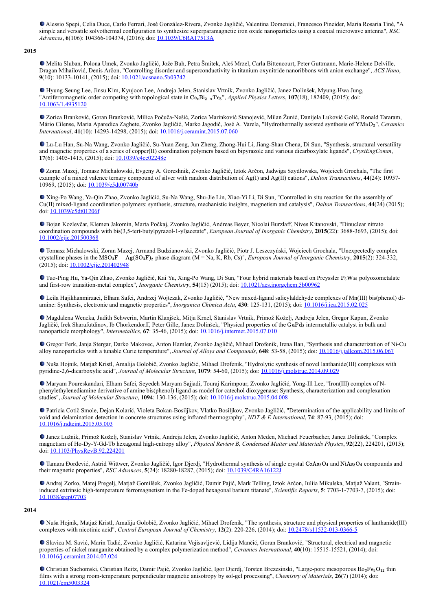Alessio Spepi, Celia Duce, Carlo Ferrari, José González-Rivera, Zvonko Jagličić, Valentina Domenici, Francesco Pineider, Maria Rosaria Tiné, "A simple and versatile solvothermal configuration to synthesize superparamagnetic iron oxide nanoparticles using a coaxial microwave antenna", *RSC Advances*, **6**(106): 104366-104374, (2016); doi: [10.1039/C6RA17513A](http://dx.doi.org/10.1039/C6RA17513A)

**2015**

Melita Sluban, Polona Umek, Zvonko Jagličić, Jože Buh, Petra Šmitek, Aleš Mrzel, Carla Bittencourt, Peter Guttmann, Marie-Helene Delville, Dragan Mihailović, Denis Arčon, "Controlling disorder and superconductivity in titanium oxynitride nanoribbons with anion exchange", *ACS Nano*, **9**(10): 10133-10141, (2015); doi: [10.1021/acsnano.5b03742](https://dx.doi.org/10.1021/acsnano.5b03742)

Hyung-Seung Lee, Jinsu Kim, Kyujoon Lee, Andreja Jelen, Stanislav Vrtnik, Zvonko Jagličić, Janez Dolinšek, Myung-Hwa Jung, "Antiferromagnetic order competing with topological state in Ce<sub>x</sub>Bi<sub>2</sub><sub>−x</sub>Te<sub>3</sub>", *Applied Physics Letters*, **107**(18), 182409, (2015); doi: [10.1063/1.4935120](https://dx.doi.org/10.1063/1.4935120)

Zorica Branković, Goran Branković, Milica Počuča-Nešić, Zorica Marinković Stanojević, Milan Žunić, Danijela Luković Golić, Ronald Tararam, Mário Cilense, Maria Aparedica Zaghete, Zvonko Jagličić, Marko Jagodič, José A. Varela, "Hydrothermally assisted synthesis of YMnO<sub>3</sub>", Ceramics *International*, **41**(10): 14293-14298, (2015); doi: [10.1016/j.ceramint.2015.07.060](http://dx.doi.org/10.1016/j.ceramint.2015.07.060)

Lu-Lu Han, Su-Na Wang, Zvonko Jagličić, Su-Yuan Zeng, Jun Zheng, Zhong-Hui Li, Jiang-Shan Chena, Di Sun, "Synthesis, structural versatility and magnetic properties of a series of copper(II) coordination polymers based on bipyrazole and various dicarboxylate ligands", *CrystEngComm*, **17**(6): 1405-1415, (2015); doi: [10.1039/c4ce02248c](http://dx.doi.org/10.1039/c4ce02248c)

Zoran Mazej, Tomasz Michałowski, Evgeny A. Goreshnik, Zvonko Jagličić, Iztok Arčon, Jadwiga Szydłowska, Wojciech Grochala, "The first example of a mixed valence ternary compound of silver with random distribution of Ag(I) and Ag(II) cations", *Dalton Transactions*, **44**(24): 10957- 10969, (2015); doi: [10.1039/c5dt00740b](https://dx.doi.org/10.1039/c5dt00740b)

■ Xing-Po Wang, Ya-Qin Zhao, Zvonko Jagličić, Su-Na Wang, Shu-Jie Lin, Xiao-Yi Li, Di Sun, "Controlled in situ reaction for the assembly of Cu(II) mixed-ligand coordination polymers: synthesis, structure, mechanistic insights, magnetism and catalysis", *Dalton Transactions*, **44**(24) (2015); doi: [10.1039/c5dt01206f](http://dx.doi.org/10.1039/c5dt01206f)

Bojan Kozlevčar, Klemen Jakomin, Marta Počkaj, Zvonko Jagličić, Andreas Beyer, Nicolai Burzlaff, Nives Kitanovski, "Dinuclear nitrato coordination compounds with bis(3,5-tert-butylpyrazol-1-yl)acetate", *European Journal of Inorganic Chemistry*, **2015**(22): 3688-3693, (2015); doi: [10.1002/ejic.201500368](https://dx.doi.org/10.1002/ejic.201500368)

Tomasz Michalowski, Zoran Mazej, Armand Budzianowski, Zvonko Jagličić, Piotr J. Leszczyński, Wojciech Grochala, "Unexpectedly complex crystalline phases in the MSO<sub>3</sub>F − Ag(SO<sub>3</sub>F)<sub>2</sub> phase diagram (M = Na, K, Rb, Cs)", *European Journal of Inorganic Chemistry*, **2015**(2): 324-332, (2015); doi: [10.1002/ejic.201402948](https://dx.doi.org/10.1002/ejic.201402948)

Tuo-Ping Hu, Ya-Qin Zhao, Zvonko Jagličić, Kai Yu, Xing-Po Wang, Di Sun, "Four hybrid materials based on Preyssler P<sub>5</sub>W<sub>30</sub> polyoxometalate and first-row transition-metal complex", *Inorganic Chemistry*, **54**(15) (2015); doi: [10.1021/acs.inorgchem.5b00962](http://dx.doi.org/10.1021/acs.inorgchem.5b00962)

Leila Hajikhanmirzaei, Elham Safei, Andrzej Wojtczak, Zvonko Jagličić, "New mixed-ligand salicylaldehyde complexes of Mn(III) bis(phenol) diamine: Synthesis, electronic and magnetic properties", *Inorganica Chimica Acta*, **430**: 125-131, (2015); doi: [10.1016/j.ica.2015.02.025](http://dx.doi.org/10.1016/j.ica.2015.02.025)

Magdalena Wencka, Judith Schwerin, Martin Klanjšek, Mitja Krnel, Stanislav Vrtnik, Primož Koželj, Andreja Jelen, Gregor Kapun, Zvonko Jagličić, Irek Sharafutdinov, Ib Chorkendorff, Peter Gille, Janez Dolinšek, "Physical properties of the GaPd2 intermetallic catalyst in bulk and nanoparticle morphology", *Intermetallics*, **67**: 35-46, (2015); doi: [10.1016/j.intermet.2015.07.010](https://dx.doi.org/10.1016/j.intermet.2015.07.010)

Gregor Ferk, Janja Stergar, Darko Makovec, Anton Hamler, Zvonko Jagličić, Mihael Drofenik, Irena Ban, "Synthesis and characterization of Ni-Cu alloy nanoparticles with a tunable Curie temperature", *Journal of Alloys and Compounds*, **648**: 53-58, (2015); doi: [10.1016/j.jallcom.2015.06.067](https://dx.doi.org/10.1016/j.jallcom.2015.06.067)

Nuša Hojnik, Matjaž Kristl, Amalija Golobič, Zvonko Jagličić, Mihael Drofenik, "Hydrolytic synthesis of novel lanthanide(III) complexes with pyridine-2,6-dicarboxylic acid", *Journal of Molecular Structure*, **1079**: 54-60, (2015); doi: [10.1016/j.molstruc.2014.09.029](https://dx.doi.org/10.1016/j.molstruc.2014.09.029)

Maryam Poureskandari, Elham Safei, Seyedeh Maryam Sajjadi, Touraj Karimpour, Zvonko Jagličić, Yong-Ill Lee, "Iron(III) complex of Nphenylethylenediamine derivative of amine bis(phenol) ligand as model for catechol dioxygenase: Synthesis, characterization and complexation studies", *Journal of Molecular Structure*, **1094**: 130-136, (2015); doi: [10.1016/j.molstruc.2015.04.008](http://dx.doi.org/10.1016/j.molstruc.2015.04.008)

Patricia Cotič Smole, Dejan Kolarič, Violeta Bokan-Bosiljkov, Vlatko Bosiljkov, Zvonko Jagličić, "Determination of the applicability and limits of void and delamination detection in concrete structures using infrared thermography", *NDT & E International*, **74**: 87-93, (2015); doi: [10.1016/j.ndteint.2015.05.003](https://dx.doi.org/10.1016/j.ndteint.2015.05.003)

Janez Lužnik, Primož Koželj, Stanislav Vrtnik, Andreja Jelen, Zvonko Jagličić, Anton Meden, Michael Feuerbacher, Janez Dolinšek, "Complex magnetism of Ho-Dy-Y-Gd-Tb hexagonal high-entropy alloy", *Physical Review B, Condensed Matter and Materials Physics*, **92**(22), 224201, (2015); doi: [10.1103/PhysRevB.92.224201](https://dx.doi.org/10.1103/PhysRevB.92.224201)

Tamara Đorđević, Astrid Wittwer, Zvonko Jagličić, Igor Djerdj, "Hydrothermal synthesis of single crystal CoAs2O4 and NiAs2O4 compounds and their magnetic properties", *RSC Advances*, **5**(24): 18280-18287, (2015); doi: [10.1039/C4RA16122J](http://dx.doi.org/10.1039/C4RA16122J)

Andrej Zorko, Matej Pregelj, Matjaž Gomilšek, Zvonko Jagličić, Damir Pajić, Mark Telling, Iztok Arčon, Iuliia Mikulska, Matjaž Valant, "Straininduced extrinsic high-temperature ferromagnetism in the Fe-doped hexagonal barium titanate", *Scientific Reports*, **5**: 7703-1-7703-7, (2015); doi: [10.1038/srep07703](https://dx.doi.org/10.1038/srep07703)

# **2014**

Nuša Hojnik, Matjaž Kristl, Amalija Golobič, Zvonko Jagličić, Mihael Drofenik, "The synthesis, structure and physical properties of lanthanide(III) complexes with nicotinic acid", *Central European Journal of Chemistry*, **12**(2): 220-226, (2014); doi: [10.2478/s11532-013-0366-5](https://dx.doi.org/10.2478/s11532-013-0366-5)

Slavica M. Savić, Marin Tadić, Zvonko Jagličić, Katarina Vojisavljević, Lidija Mančić, Goran Branković, "Structural, electrical and magnetic properties of nickel manganite obtained by a complex polymerization method", *Ceramics International*, **40**(10): 15515-15521, (2014); doi: [10.1016/j.ceramint.2014.07.024](https://dx.doi.org/10.1016/j.ceramint.2014.07.024)

Christian Suchomski, Christian Reitz, Damir Pajić, Zvonko Jagličić, Igor Djerdj, Torsten Brezesinski, "Large-pore mesoporous Ho<sub>3</sub>Fe<sub>5</sub>O<sub>12</sub> thin films with a strong room-temperature perpendicular magnetic anisotropy by sol-gel processing", *Chemistry of Materials*, **26**(7) (2014); doi: [10.1021/cm5003324](http://dx.doi.org/10.1021/cm5003324)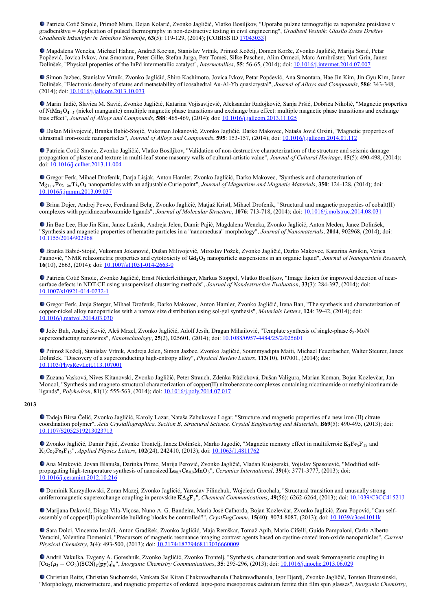Patricia Cotič Smole, Primož Murn, Dejan Kolarič, Zvonko Jagličić, Vlatko Bosiljkov, "Uporaba pulzne termografije za neporušne preiskave v gradbeništvu = Application of pulsed thermography in non-destructive testing in civil engineering", *Gradbeni Vestnik: Glasilo Zveze Društev Gradbenih Inženirjev in Tehnikov Slovenije*, **63**(5): 119-129, (2014); [COBISS ID [17043033\]](https://plus.si.cobiss.net/opac7/bib/17043033?lang=en)

Magdalena Wencka, Michael Hahne, Andraž Kocjan, Stanislav Vrtnik, Primož Koželj, Domen Korže, Zvonko Jagličić, Marija Sorić, Petar Popčević, Jovica Ivkov, Ana Smontara, Peter Gille, Stefan Jurga, Petr Tomeš, Silke Paschen, Alim Ormeci, Marc Armbrüster, Yuri Grin, Janez Dolinšek, "Physical properties of the InPd intermetallic catalyst", *Intermetallics*, **55**: 56-65, (2014); doi: [10.1016/j.intermet.2014.07.007](https://dx.doi.org/10.1016/j.intermet.2014.07.007)

Simon Jazbec, Stanislav Vrtnik, Zvonko Jagličić, Shiro Kashimoto, Jovica Ivkov, Petar Popčević, Ana Smontara, Hae Jin Kim, Jin Gyu Kim, Janez Dolinšek, "Electronic density of states and metastability of icosahedral Au-Al-Yb quasicrystal", *Journal of Alloys and Compounds*, **586**: 343-348, (2014); doi: **10.1016/j.jallcom.2013.10.073** 

Marin Tadić, Slavica M. Savić, Zvonko Jagličić, Katarina Vojisavljević, Aleksandar Radojković, Sanja Pršić, Dobrica Nikolić, "Magnetic properties of NiMn<sub>2</sub>O<sub>4−δ</sub> (nickel manganite) emultiple magnetic phase transitions and exchange bias effect: multiple magnetic phase transitions and exchange bias effect", *Journal of Alloys and Compounds*, **588**: 465-469, (2014); doi: [10.1016/j.jallcom.2013.11.025](https://dx.doi.org/10.1016/j.jallcom.2013.11.025)

Dušan Milivojević, Branka Babić-Stojić, Vukoman Jokanović, Zvonko Jagličić, Darko Makovec, Nataša Jović Orsini, "Magnetic properties of ultrasmall iron-oxide nanoparticles", *Journal of Alloys and Compounds*, **595**: 153-157, (2014); doi: [10.1016/j.jallcom.2014.01.112](https://dx.doi.org/10.1016/j.jallcom.2014.01.112)

Patricia Cotič Smole, Zvonko Jagličić, Vlatko Bosiljkov, "Validation of non-destructive characterization of the structure and seismic damage propagation of plaster and texture in multi-leaf stone masonry walls of cultural-artistic value", *Journal of Cultural Heritage*, **15**(5): 490-498, (2014); doi: [10.1016/j.culher.2013.11.004](http://dx.doi.org/10.1016/j.culher.2013.11.004)

Gregor Ferk, Mihael Drofenik, Darja Lisjak, Anton Hamler, Zvonko Jagličić, Darko Makovec, "Synthesis and characterization of Mg<sub>1+x</sub>Fe<sub>2−2x</sub>Ti<sub>x</sub>O<sub>4</sub> nanoparticles with an adjustable Curie point", *Journal of Magnetism and Magnetic Materials*, **350**: 124-128, (2014); doi: [10.1016/j.jmmm.2013.09.037](https://dx.doi.org/10.1016/j.jmmm.2013.09.037)

Brina Dojer, Andrej Pevec, Ferdinand Belaj, Zvonko Jagličić, Matjaž Kristl, Mihael Drofenik, "Structural and magnetic properties of cobalt(II) complexes with pyridinecarboxamide ligands", *Journal of Molecular Structure*, **1076**: 713-718, (2014); doi: [10.1016/j.molstruc.2014.08.031](https://dx.doi.org/10.1016/j.molstruc.2014.08.031)

Jin Bae Lee, Hae Jin Kim, Janez Lužnik, Andreja Jelen, Damir Pajić, Magdalena Wencka, Zvonko Jagličić, Anton Meden, Janez Dolinšek, "Synthesis and magnetic properties of hematite particles in a "nanomedusa" morphology", *Journal of Nanomaterials*, **2014**, 902968, (2014); doi: [10.1155/2014/902968](https://dx.doi.org/10.1155/2014/902968)

Branka Babić-Stojić, Vukoman Jokanović, Dušan Milivojević, Miroslav Požek, Zvonko Jagličić, Darko Makovec, Katarina Arsikin, Verica Paunović, "NMR relaxometric properties and cytotoxicity of Gd<sub>2</sub>O<sub>3</sub> nanoparticle suspensions in an organic liquid", *Journal of Nanoparticle Research*, **16**(10), 2663, (2014); doi: [10.1007/s11051-014-2663-0](http://dx.doi.org/10.1007/s11051-014-2663-0)

Patricia Cotič Smole, Zvonko Jagličić, Ernst Niederleithinger, Markus Stoppel, Vlatko Bosiljkov, "Image fusion for improved detection of nearsurface defects in NDT-CE using unsupervised clustering methods", *Journal of Nondestructive Evaluation*, **33**(3): 284-397, (2014); doi: [10.1007/s10921-014-0232-1](http://dx.doi.org/10.1007/s10921-014-0232-1)

Gregor Ferk, Janja Stergar, Mihael Drofenik, Darko Makovec, Anton Hamler, Zvonko Jagličić, Irena Ban, "The synthesis and characterization of copper-nickel alloy nanoparticles with a narrow size distribution using sol-gel synthesis", *Materials Letters*, **124**: 39-42, (2014); doi: [10.1016/j.matvol.2014.03.030](https://dx.doi.org/10.1016/j.matvol.2014.03.030)

Jože Buh, Andrej Kovič, Aleš Mrzel, Zvonko Jagličić, Adolf Jesih, Dragan Mihailović, "Template synthesis of single-phase  $\delta_3$ -MoN superconducting nanowires", *Nanotechnology*, **25**(2), 025601, (2014); doi: [10.1088/0957-4484/25/2/025601](https://dx.doi.org/10.1088/0957-4484/25/2/025601)

Primož Koželj, Stanislav Vrtnik, Andreja Jelen, Simon Jazbec, Zvonko Jagličić, Soummyadipta Maiti, Michael Feuerbacher, Walter Steurer, Janez Dolinšek, "Discovery of a superconducting high-entropy alloy", *Physical Review Letters*, **113**(10), 107001, (2014); doi: [10.1103/PhysRevLett.113.107001](https://dx.doi.org/10.1103/PhysRevLett.113.107001)

Zuzana Vasková, Nives Kitanovski, Zvonko Jagličić, Peter Strauch, Zdeňka Růžicková, Dušan Valigura, Marian Koman, Bojan Kozlevčar, Jan Moncol, "Synthesis and magneto-structural characterization of copper(II) nitrobenzoate complexes containing nicotinamide or methylnicotinamide ligands", *Polyhedron*, **81**(1): 555-563, (2014); doi: [10.1016/j.poly.2014.07.017](https://dx.doi.org/10.1016/j.poly.2014.07.017)

## **2013**

Tadeja Birsa Čelič, Zvonko Jagličić, Karoly Lazar, Nataša Zabukovec Logar, "Structure and magnetic properties of a new iron (II) citrate coordination polymer", *Acta Crystallographica. Section B, Structural Science, Crystal Engineering and Materials*, **B69**(5): 490-495, (2013); doi: [10.1107/S2052519213023713](https://dx.doi.org/10.1107/S2052519213023713)

Zvonko Jagličić, Damir Pajić, Zvonko Trontelj, Janez Dolinšek, Marko Jagodič, "Magnetic memory effect in multiferroic K<sub>3</sub>Fe<sub>5</sub>F<sub>15</sub> and K<sub>3</sub>Cr<sub>2</sub>Fe<sub>3</sub>F<sub>15</sub>", *Applied Physics Letters*, 102(24), 242410, (2013); doi: [10.1063/1.4811762](https://dx.doi.org/10.1063/1.4811762)

Ana Mraković, Jovan Blanuša, Darinka Primc, Marija Perović, Zvonko Jagličić, Vladan Kusigerski, Vojislav Spasojević, "Modified selfpropagating high-temperature synthesis of nanosized  $\text{La}_{0.7}\text{Ca}_{0.3}\text{MnO}_3$ ", *Ceramics International*, **39**(4): 3771-3777, (2013); doi: [10.1016/j.ceramint.2012.10.216](https://dx.doi.org/10.1016/j.ceramint.2012.10.216)

Dominik Kurzydłowski, Zoran Mazej, Zvonko Jagličić, Yaroslav Filinchuk, Wojciech Grochala, "Structural transition and unusually strong antiferromagnetic superexchange coupling in perovskite KAgF<sub>3</sub>", *Chemical Communications*, **49**(56): 6262-6264, (2013); doi: [10.1039/C3CC41521J](https://dx.doi.org/10.1039/C3CC41521J)

Marijana Đaković, Diogo Vila-Viçosa, Nuno A. G. Bandeira, Maria José Calhorda, Bojan Kozlevčar, Zvonko Jagličić, Zora Popović, "Can selfassembly of copper(II) picolinamide building blocks be controlled?", *CrystEngComm*, **15**(40): 8074-8087, (2013); doi: [10.1039/c3ce41011k](https://dx.doi.org/10.1039/c3ce41011k)

Sara Dolci, Vincenzo Ieraldi, Anton Gradišek, Zvonko Jagličić, Maja Remškar, Tomaž Apih, Mario Cifelli, Guido Pampaloni, Carlo Alberto Veracini, Valentina Domenici, "Precursors of magnetic resonance imaging contrast agents based on cystine-coated iron-oxide nanoparticles", *Current Physical Chemistry*, 3(4): 493-500, (2013); doi:  $\frac{10.2174/18779468113036660009}{10.2174/18779468113036660009}$ 

Andrii Vakulka, Evgeny A. Goreshnik, Zvonko Jagličić, Zvonko Trontelj, "Synthesis, characterization and weak ferromagnetic coupling in ", *Inorganic Chemistry Communications*, **35**: 295-296, (2013); doi: [10.1016/j.inoche.2013.06.029](https://dx.doi.org/10.1016/j.inoche.2013.06.029) [Cu2(μ<sup>3</sup> − CO3)(SCN)2(py)4]<sup>n</sup>

Christian Reitz, Christian Suchomski, Venkata Sai Kiran Chakravadhanula Chakravadhanula, Igor Djerdj, Zvonko Jagličić, Torsten Brezesinski, "Morphology, microstructure, and magnetic properties of ordered large-pore mesoporous cadmium ferrite thin film spin glasses", *Inorganic Chemistry*,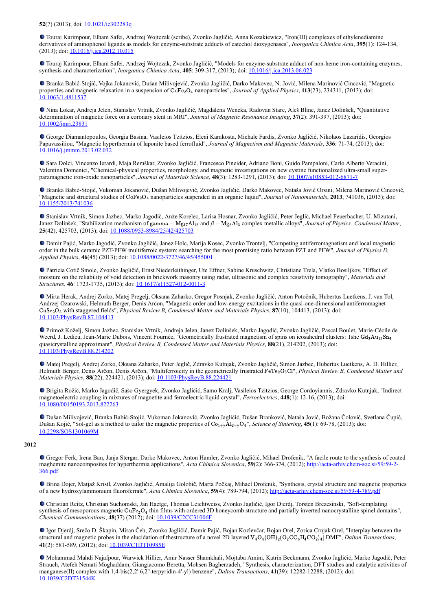Touraj Karimpour, Elham Safei, Andrzej Wojtczak (scribe), Zvonko Jagličić, Anna Kozakiewicz, "Iron(III) complexes of ethylenediamine derivatives of aminophenol ligands as models for enzyme-substrate adducts of catechol dioxygenases", *Inorganica Chimica Acta*, **395**(1): 124-134, (2013); doi: [10.1016/j.ica.2012.10.015](http://dx.doi.org/10.1016/j.ica.2012.10.015)

Touraj Karimpour, Elham Safei, Andrzej Wojtczak, Zvonko Jagličić, "Models for enzyme-substrate adduct of non-heme iron-containing enzymes, synthesis and characterization", *Inorganica Chimica Acta*, **405**: 309-317, (2013); doi: [10.1016/j.ica.2013.06.023](http://dx.doi.org/10.1016/j.ica.2013.06.023)

Branka Babić-Stojić, Vojka Jokanović, Dušan Milivojević, Zvonko Jagličić, Darko Makovec, N. Jović, Milena Marinović Cincović, "Magnetic properties and magnetic relaxation in a suspension of CoFe<sub>2</sub>O<sub>4</sub> nanoparticles", *Journal of Applied Physics*, **113**(23), 234311, (2013); doi: [10.1063/1.4811537](https://dx.doi.org/10.1063/1.4811537)

Nina Lokar, Andreja Jelen, Stanislav Vrtnik, Zvonko Jagličić, Magdalena Wencka, Radovan Starc, Aleš Blinc, Janez Dolinšek, "Quantitative determination of magnetic force on a coronary stent in MRI", *Journal of Magnetic Resonance Imaging*, **37**(2): 391-397, (2013); doi: [10.1002/jmri.23831](https://dx.doi.org/10.1002/jmri.23831)

George Diamantopoulos, Georgia Basina, Vasileios Tzitzios, Eleni Karakosta, Michale Fardis, Zvonko Jagličić, Nikolaos Lazaridis, Georgios Papavassiliou, "Magnetic hyperthermia of laponite based ferrofluid", *Journal of Magnetism and Magnetic Materials*, **336**: 71-74, (2013); doi: [10.1016/j.jmmm.2013.02.032](http://dx.doi.org/10.1016/j.jmmm.2013.02.032)

Sara Dolci, Vincenzo Ierardi, Maja Remškar, Zvonko Jagličić, Francesco Pineider, Adriano Boni, Guido Pampaloni, Carlo Alberto Veracini, Valentina Domenici, "Chemical-physical properties, morphology, and magnetic investigations on new cystine functionalized ultra-small superparamagnetic iron-oxide nanoparticles", *Journal of Materials Science*, **48**(3): 1283-1291, (2013); doi: [10.1007/s10853-012-6871-7](http://dx.doi.org/10.1007/s10853-012-6871-7)

Branka Babić-Stojić, Vukoman Jokanović, Dušan Milivojević, Zvonko Jagličić, Darko Makovec, Nataša Jović Orsini, Milena Marinović Cincović, "Magnetic and structural studies of CoFe<sub>2</sub>O<sub>4</sub> nanoparticles suspended in an organic liquid", *Journal of Nanomaterials*, **2013**, 741036, (2013); doi: [10.1155/2013/741036](http://dx.doi.org/10.1155/2013/741036)

Stanislav Vrtnik, Simon Jazbec, Marko Jagodič, Anže Korelec, Larisa Hosnar, Zvonko Jagličić, Peter Jeglič, Michael Feuerbacher, U. Mizutani, Janez Dolinšek, "Stabilization mechanism of gamma – Mg<sub>17</sub>Al<sub>12</sub> and  $\beta$  – Mg<sub>2</sub>Al<sub>3</sub> complex metallic alloys<sup>"</sup>, *Journal of Physics: Condensed Matter*, **25**(42), 425703, (2013); doi: [10.1088/0953-8984/25/42/425703](https://dx.doi.org/10.1088/0953-8984/25/42/425703)

Damir Pajić, Marko Jagodič, Zvonko Jagličić, Janez Holc, Marija Kosec, Zvonko Trontelj, "Competing antiferromagnetism and local magnetic order in the bulk ceramic PZT-PFW multiferroic system: searching for the most promising ratio between PZT and PFW", *Journal of Physics D, Applied Physics*, **46**(45) (2013); doi: [10.1088/0022-3727/46/45/455001](http://dx.doi.org/10.1088/0022-3727/46/45/455001)

Patricia Cotič Smole, Zvonko Jagličić, Ernst Niederleithinger, Ute Effner, Sabine Kruschwitz, Christiane Trela, Vlatko Bosiljkov, "Effect of moisture on the reliability of void detection in brickwork masonry using radar, ultrasonic and complex resistivity tomography", *Materials and Structures*, **46**: 1723-1735, (2013); doi: [10.1617/s11527-012-0011-3](https://dx.doi.org/10.1617/s11527-012-0011-3)

Mirta Herak, Andrej Zorko, Matej Pregelj, Oksana Zaharko, Gregor Posnjak, Zvonko Jagličić, Anton Potočnik, Hubertus Luetkens, J. van Tol, Andrzej Ozarowski, Helmuth Berger, Denis Arčon, "Magnetic order and low-energy excitations in the quasi-one-dimensional antiferromagnet CuSe<sub>2</sub>O<sub>5</sub> with staggered fields", *Physical Review B, Condensed Matter and Materials Physics*, 87(10), 104413, (2013); doi: [10.1103/PhysRevB.87.104413](https://dx.doi.org/10.1103/PhysRevB.87.104413)

Primož Koželj, Simon Jazbec, Stanislav Vrtnik, Andreja Jelen, Janez Dolinšek, Marko Jagodič, Zvonko Jagličić, Pascal Boulet, Marie-Cécile de Weerd, J. Ledieu, Jean-Marie Dubois, Vincent Fournée, "Geometrically frustrated magnetism of spins on icosahedral clusters: Tshe Gd<sub>3</sub>Au<sub>13</sub>Sn<sub>4</sub> quasicrystalline approximant", *Physical Review B, Condensed Matter and Materials Physics*, **88**(21), 214202, (2013); doi: [10.1103/PhysRevB.88.214202](https://dx.doi.org/10.1103/PhysRevB.88.214202)

Matej Pregelj, Andrej Zorko, Oksana Zaharko, Peter Jeglič, Zdravko Kutnjak, Zvonko Jagličić, Simon Jazbec, Hubertus Luetkens, A. D. Hillier, Helmuth Berger, Denis Arčon, Denis Arčon, "Multiferroicity in the geometrically frustrated FeTe<sub>2</sub>O<sub>5</sub>Cl", Physical Review B, Condensed Matter and *Materials Physics*, **88**(22), 224421, (2013); doi: [10.1103/PhysRevB.88.224421](https://dx.doi.org/10.1103/PhysRevB.88.224421)

Brigita Rožič, Marko Jagodič, Sašo Gyergyek, Zvonko Jagličić, Samo Kralj, Vasileios Tzitzios, George Cordoyiannis, Zdravko Kutnjak, "Indirect magnetoelectric coupling in mixtures of magnetite and ferroelectric liquid crystal", *Ferroelectrics*, **448**(1): 12-16, (2013); doi: [10.1080/00150193.2013.822263](https://dx.doi.org/10.1080/00150193.2013.822263)

Dušan Milivojević, Branka Babić-Stojić, Vukoman Jokanović, Zvonko Jagličić, Dušan Branković, Nataša Jović, Božana Čolović, Svetlana Čupić, Dušan Kojić, "Sol-gel as a method to tailor the magnetic properties of  $\text{Co}_{1+\sqrt{A}}\text{I}_{2-\sqrt{O}_4}$ ", *Science of Sintering*, **45**(1): 69-78, (2013); doi: [10.2298/SOS1301069M](http://dx.doi.org/10.2298/SOS1301069M)

# **2012**

Gregor Ferk, Irena Ban, Janja Stergar, Darko Makovec, Anton Hamler, Zvonko Jagličić, Mihael Drofenik, "A facile route to the synthesis of coated [maghemite nanocomposites for hyperthermia applications",](http://acta-arhiv.chem-soc.si/59/59-2-366.pdf) *Acta Chimica Slovenica*, **59**(2): 366-374, (2012); http://acta-arhiv.chem-soc.si/59/59-2- 366.pdf

Brina Dojer, Matjaž Kristl, Zvonko Jagličić, Amalija Golobič, Marta Počkaj, Mihael Drofenik, "Synthesis, crystal structure and magnetic properties of a new hydroxylammonium fluoroferrate", *Acta Chimica Slovenica*, **59**(4): 789-794, (2012);<http://acta-arhiv.chem-soc.si/59/59-4-789.pdf>

Christian Reitz, Christian Suchomski, Jan Haetge, Thomas Leichtweiss, Zvonko Jagličić, Igor Djerdj, Torsten Brezesinski, "Soft-templating synthesis of mesoporous magnetic CuFe<sub>2</sub>O<sub>4</sub> thin films with ordered 3D honeycomb structure and partially inverted nanocrystalline spinel domains", *Chemical Communications*, **48**(37) (2012); doi: [10.1039/C2CC31006F](http://dx.doi.org/10.1039/C2CC31006F)

Igor Djerdj, Srečo D. Škapin, Miran Čeh, Zvonko Jagličić, Damir Pajić, Bojan Kozlevčar, Bojan Orel, Zorica Crnjak Orel, "Interplay between the structural and magnetic probes in the elucidation of thestructure of a novel 2D layered  $V_4O_4(OH)_2(O_2C_6H_4CO_2)_4]$  DMF", *Dalton Transactions*, **41**(2): 581-589, (2012); doi: [10.1039/C1DT10985E](https://dx.doi.org/10.1039/C1DT10985E)

Mohammad Mahdi Najafpour, Warwick Hillier, Amir Nasser Shamkhali, Mojtaba Amini, Katrin Beckmann, Zvonko Jagličić, Marko Jagodič, Peter Strauch, Atefeh Nemati Moghaddam, Giangiacomo Beretta, Mohsen Bagherzadeh, "Synthesis, characterization, DFT studies and catalytic activities of manganese(II) complex with 1,4-bis(2,2':6,2''-terpyridin-4'-yl) benzene", *Dalton Transactions*, **41**(39): 12282-12288, (2012); doi: [10.1039/C2DT31544K](http://dx.doi.org/10.1039/C2DT31544K)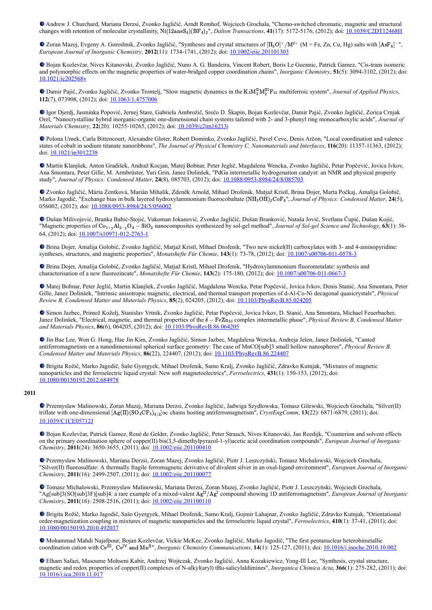Andrew J. Churchard, Mariana Derzsi, Zvonko Jagličić, Arndt Remhof, Wojciech Grochala, "Chemo-switched chromatic, magnetic and structural changes with retention of molecular crystallinity,  $\text{Ni}(12\text{aneS}_4)(\text{BF}_4)_2$ ", *Dalton Transactions*,  $41(17)$ : 5172-5176, (2012); doi: [10.1039/C2DT12468H](http://dx.doi.org/10.1039/C2DT12468H)

Zoran Mazej, Evgeny A. Goreshnik, Zvonko Jagličić, "Syntheses and crystal structures of  $[H_3O]^+/M^{2+}$  (M = Fe, Zn, Cu, Hg) salts with  $[AsF_6]$ <sup>-</sup>", *European Journal of Inorganic Chemistry*, **2012**(11): 1734-1741, (2012); doi: [10.1002/ejic.201101303](https://dx.doi.org/10.1002/ejic.201101303)

Bojan Kozlevčar, Nives Kitanovski, Zvonko Jagličić, Nuno A. G. Bandeira, Vincent Robert, Boris Le Guennic, Patrick Gamez, "Cis-trans isomeric and polymorphic effects on the magnetic properties of water-bridged copper coordination chains", *Inorganic Chemistry*, **51**(5): 3094-3102, (2012); doi: [10.1021/ic202568y](https://dx.doi.org/10.1021/ic202568y)

Damir Pajić, Zvonko Jagličić, Zvonko Trontelj, "Slow magnetic dynamics in the K<sub>3</sub>M<sub>3</sub><sup>H</sup>M<sup>II</sup>I<sub>2</sub>F<sub>15</sub> multiferroic system", *Journal of Applied Physics*, **112**(7), 073908, (2012); doi: [10.1063/1.4757006](http://dx.doi.org/10.1063/1.4757006)

Igor Djerdj, Jasminka Popović, Jernej Stare, Gabriela Ambrožič, Srečo D. Škapin, Bojan Kozlevčar, Damir Pajić, Zvonko Jagličić, Zorica Crnjak Orel, "Nanocrystalline hybrid inorganic-organic one-dimensional chain systems tailored with 2- and 3-phenyl ring monocarboxylic acids", *Journal of Materials Chemistry*, **22**(20): 10255-10265, (2012); doi: [10.1039/c2jm16213j](https://dx.doi.org/10.1039/c2jm16213j)

Polona Umek, Carla Bittencourt, Alexandre Gloter, Robert Dominko, Zvonko Jagličić, Pavel Cevc, Denis Arčon, "Local coordination and valence states of cobalt in sodium titanate nanoribbons", *The Journal of Physical Chemistry C, Nanomaterials and Interfaces*, **116**(20): 11357-11363, (2012); doi: [10.1021/jp3012238](https://dx.doi.org/10.1021/jp3012238)

Martin Klanjšek, Anton Gradišek, Andraž Kocjan, Matej Bobnar, Peter Jeglič, Magdalena Wencka, Zvonko Jagličić, Petar Popčević, Jovica Ivkov, Ana Smontara, Peter Gille, M. Armbrüster, Yuri Grin, Janez Dolinšek, "PdGa intermetallic hydrogenation catalyst: an NMR and physical property study", *Journal of Physics: Condensed Matter*, **24**(8), 085703, (2012); doi: [10.1088/0953-8984/24/8/085703](https://dx.doi.org/10.1088/0953-8984/24/8/085703)

Zvonko Jagličić, Mária Zentková, Marián Mihalik, Zdeněk Arnold, Mihael Drofenik, Matjaž Kristl, Brina Dojer, Marta Počkaj, Amalija Golobič, Marko Jagodič, "Exchange bias in bulk layered hydroxylammonium fluorocobaltate (NH<sub>3</sub>OH)<sub>2</sub>CoF4", Journal of Physics: Condensed Matter, 24(5), 056002, (2012); doi: [10.1088/0953-8984/24/5/056002](http://dx.doi.org/10.1088/0953-8984/24/5/056002)

Dušan Milivojević, Branka Babić-Stojić, Vukoman Jokanović, Zvonko Jagličić, Dušan Branković, Nataša Jović, Svetlana Čupić, Dušan Kojić, "Magnetic properties of Co<sub>1+y</sub>Al<sub>2-y</sub>O<sub>4</sub> − SiO<sub>2</sub> nanocomposites synthesized by sol-gel method", *Journal of Sol-gel Science and Technology*, **63**(1): 56-64, (2012); doi: [10.1007/s10971-012-2763-1](http://dx.doi.org/10.1007/s10971-012-2763-1)

Brina Dojer, Amalija Golobič, Zvonko Jagličić, Matjaž Kristl, Mihael Drofenik, "Two new nickel(II) carboxylates with 3- and 4-aminopyridine: syntheses, structures, and magnetic properties", *Monatshefte Für Chemie*, **143**(1): 73-78, (2012); doi: [10.1007/s00706-011-0578-3](https://dx.doi.org/10.1007/s00706-011-0578-3)

Brina Dojer, Amalija Golobič, Zvonko Jagličić, Matjaž Kristl, Mihael Drofenik, "Hydroxylammonium fluorometalate: synthesis and characterisation of a new fluorozincate", *Monatshefte Für Chemie*, **143**(2): 175-180, (2012); doi: [10.1007/s00706-011-0667-3](https://dx.doi.org/10.1007/s00706-011-0667-3)

Matej Bobnar, Peter Jeglič, Martin Klanjšek, Zvonko Jagličić, Magdalena Wencka, Petar Popčević, Jovica Ivkov, Denis Stanić, Ana Smontara, Peter Gille, Janez Dolinšek, "Intrinsic anisotropic magnetic, electrical, and thermal transport properties of d-Al-Co-Ni decagonal quasicrystals", *Physical Review B, Condensed Matter and Materials Physics*, **85**(2), 024205, (2012); doi: [10.1103/PhysRevB.85.024205](https://dx.doi.org/10.1103/PhysRevB.85.024205)

Simon Jazbec, Primož Koželj, Stanislav Vrtnik, Zvonko Jagličić, Petar Popčević, Jovica Ivkov, D. Stanić, Ana Smontara, Michael Feuerbacher, Janez Dolinšek, "Electrical, magnetic, and thermal properties of the δ – FeZn<sub>10</sub> complex intermetallic phase", *Physical Review B, Condensed Matter and Materials Physics*, **86**(6), 064205, (2012); doi: [10.1103/PhysRevB.86.064205](https://dx.doi.org/10.1103/PhysRevB.86.064205)

Jin Bae Lee, Won G. Hong, Hae Jin Kim, Zvonko Jagličić, Simon Jazbec, Magdalena Wencka, Andreja Jelen, Janez Dolinšek, "Canted antiferromagnetism on a nanodimensional spherical surface geometry: The case of MnCO[sub]3 small hollow nanospheres", *Physical Review B, Condensed Matter and Materials Physics*, **86**(22), 224407, (2012); doi: [10.1103/PhysRevB.86.224407](https://dx.doi.org/10.1103/PhysRevB.86.224407)

Brigita Rožič, Marko Jagodič, Sašo Gyergyek, Mihael Drofenik, Samo Kralj, Zvonko Jagličić, Zdravko Kutnjak, "Mixtures of magnetic nanoparticles and the ferroelectric liquid crystal: New soft magnetoelectrics", *Ferroelectrics*, **431**(1): 150-153, (2012); doi: [10.1080/00150193.2012.684978](https://dx.doi.org/10.1080/00150193.2012.684978)

### **2011**

Przemyslaw Malinowski, Zoran Mazej, Mariana Derzsi, Zvonko Jagličić, Jadwiga Szydłowska, Tomasz Gilewski, Wojciech Grochala, "Silver(II) triflate with one-dimensional  $[Ag(II)(SO_3CF_3)_{4/2}] \infty$  chains hosting antiferromagnetism", *CrystEngComm*, **13**(22): 6871-6879, (2011); doi: [10.1039/C1CE05712J](https://doi.org/10.1039/C1CE05712J)

Bojan Kozlevčar, Patrick Gamez, René de Gelder, Zvonko Jagličić, Peter Strauch, Nives Kitanovski, Jan Reedijk, "Counterion and solvent effects on the primary coordination sphere of copper(II) bis(3,5-dimethylpyrazol-1-yl)acetic acid coordination compounds", *European Journal of Inorganic Chemistry*, **2011**(24): 3650-3655, (2011); doi: [10.1002/ejic.201100410](https://dx.doi.org/10.1002/ejic.201100410)

Przemyslaw Malinowski, Mariana Derzsi, Zoran Mazej, Zvonko Jagličić, Piotr J. Leszczyński, Tomasz Michalowski, Wojciech Grochala, "Silver(II) fluorosulfate: A thermally fragile ferromagnetic derivative of divalent silver in an oxal-ligand environment", *European Journal of Inorganic Chemistry*, **2011**(16): 2499-2507, (2011); doi: [10.1002/ejic.201100077](https://dx.doi.org/10.1002/ejic.201100077)

Tomasz Michalowski, Przemyslaw Malinowski, Mariana Derzsi, Zoran Mazej, Zvonko Jagličić, Piotr J. Leszczyński, Wojciech Grochala, "Ag[sub]3(SO[sub]3F)[sub]4: a rare example of a mixed-valent  $A g^{II}/A g^{I}$  compound showing 1D antiferromagnetism", *European Journal of Inorganic Chemistry*, **2011**(16): 2508-2516, (2011); doi: [10.1002/ejic.201100110](https://dx.doi.org/10.1002/ejic.201100110)

Brigita Rožič, Marko Jagodič, Sašo Gyergyek, Mihael Drofenik, Samo Kralj, Gojmir Lahajnar, Zvonko Jagličić, Zdravko Kutnjak, "Orientational order-magnetization coupling in mixtures of magnetic nanoparticles and the ferroelectric liquid crystal", *Ferroelectrics*, **410**(1): 37-41, (2011); doi: [10.1080/00150193.2010.492037](https://doi.org/10.1080/00150193.2010.492037%20target=)

Mohammad Mahdi Najafpour, Bojan Kozlevčar, Vickie McKee, Zvonko Jagličić, Marko Jagodič, "The first pentanuclear heterobimetallic coordination cation with  $\tilde{C}e^{\tilde{H}I}$ ,  $\tilde{C}e^{IV}$  and  $Mn^{II}$ ", *Inorganic Chemistry Communications*, **14**(1): 125-127, (2011); doi: <u>[10.1016/j.inoche.2010.10.002](https://dx.doi.org/10.1016/j.inoche.2010.10.002)</u>

Elham Safaei, Masoume Mohseni Kabir, Andrzej Wojtczak, Zvonko Jagličić, Anna Kozakiewicz, Yong-Ill Lee, "Synthesis, crystal structure, magnetic and redox properties of copper(II) complexes of N-alkyl(aryl) tBu-salicylaldimines", *Inorganica Chimica Acta*, **366**(1): 275-282, (2011); doi: [10.1016/j.ica.2010.11.017](http://dx.doi.org/10.1016/j.ica.2010.11.017)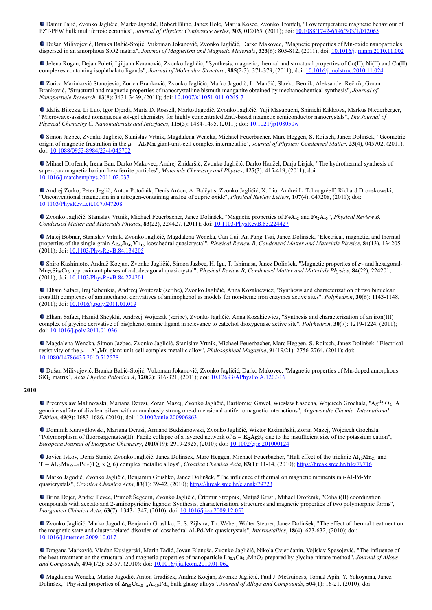Damir Pajić, Zvonko Jagličić, Marko Jagodič, Robert Blinc, Janez Holc, Marija Kosec, Zvonko Trontelj, "Low temperature magnetic behaviour of PZT-PFW bulk multiferroic ceramics", *Journal of Physics: Conference Series*, **303**, 012065, (2011); doi: [10.1088/1742-6596/303/1/012065](http://dx.doi.org/10.1088/1742-6596/303/1/012065)

Dušan Milivojević, Branka Babić-Stojić, Vukoman Jokanović, Zvonko Jagličić, Darko Makovec, "Magnetic properties of Mn-oxide nanoparticles dispersed in an amorphous SiO2 matrix", *Journal of Magnetism and Magnetic Materials*, **323**(6): 805-812, (2011); doi: [10.1016/j.jmmm.2010.11.002](https://doi.org/10.1016/j.jmmm.2010.11.002)

Jelena Rogan, Dejan Poleti, Ljiljana Karanović, Zvonko Jagličić, "Synthesis, magnetic, thermal and structural properties of Co(II), Ni(II) and Cu(II) complexes containing isophthalato ligands", *Journal of Molecular Structure*, **985**(2-3): 371-379, (2011); doi: [10.1016/j.molstruc.2010.11.024](http://dx.doi.org/10.1016/j.molstruc.2010.11.024)

Zorica Marinković Stanojević, Zorica Branković, Zvonko Jagličić, Marko Jagodič, L. Mančić, Slavko Bernik, Aleksander Rečnik, Goran Branković, "Structural and magnetic properties of nanocrystalline bismuth manganite obtained by mechanochemical synthesis", *Journal of Nanoparticle Research*, **13**(8): 3431-3439, (2011); doi: [10.1007/s11051-011-0265-7](https://dx.doi.org/10.1007/s11051-011-0265-7)

Idalia Bilecka, Li Luo, Igor Djerdj, Marta D. Rossell, Marko Jagodič, Zvonko Jagličić, Yuji Masubuchi, Shinichi Kikkawa, Markus Niederberger, "Microwave-assisted nonaqueous sol-gel chemistry for highly concentrated ZnO-based magnetic semiconductor nanocrystals", *The Journal of Physical Chemistry C, Nanomaterials and Interfaces*, **115**(5): 1484-1495, (2011); doi: [10.1021/jp108050w](http://dx.doi.org/10.1021/jp108050w)

Simon Jazbec, Zvonko Jagličić, Stanislav Vrtnik, Magdalena Wencka, Michael Feuerbacher, Marc Heggen, S. Roitsch, Janez Dolinšek, "Geometric origin of magnetic frustration in the  $μ$  – Al<sub>4</sub>Mn giant-unit-cell complex intermetallic", *Journal of Physics: Condensed Matter*, **23**(4), 045702, (2011); doi: [10.1088/0953-8984/23/4/045702](https://doi.org/10.1088/0953-8984/23/4/045702)

Mihael Drofenik, Irena Ban, Darko Makovec, Andrej Žnidaršič, Zvonko Jagličić, Darko Hanžel, Darja Lisjak, "The hydrothermal synthesis of super-paramagnetic barium hexaferrite particles", *Materials Chemistry and Physics*, **127**(3): 415-419, (2011); doi: [10.1016/j.matchemphys.2011.02.037](https://dx.doi.org/10.1016/j.matchemphys.2011.02.037)

Andrej Zorko, Peter Jeglič, Anton Potočnik, Denis Arčon, A. Balčytis, Zvonko Jagličić, X. Liu, Andrei L. Tchougréeff, Richard Dronskowski, "Unconventional magnetism in a nitrogen-containing analog of cupric oxide", *Physical Review Letters*, **107**(4), 047208, (2011); doi: [10.1103/PhysRevLett.107.047208](https://dx.doi.org/10.1103/PhysRevLett.107.047208)

Zvonko Jagličić, Stanislav Vrtnik, Michael Feuerbacher, Janez Dolinšek, "Magnetic properties of FeAl<sub>2</sub> and Fe<sub>2</sub>Al<sub>5</sub>", *Physical Review B*, *Condensed Matter and Materials Physics*, **83**(22), 224427, (2011); doi: [10.1103/PhysRevB.83.224427](https://dx.doi.org/10.1103/PhysRevB.83.224427)

Matej Bobnar, Stanislav Vrtnik, Zvonko Jagličić, Magdalena Wencka, Can Cui, An Pang Tsai, Janez Dolinšek, "Electrical, magnetic, and thermal properties of the single-grain  $A_{24}$  $A_{10}$ <sup>Y</sup> $B_{16}$  icosahedral quasicrystal", *Physical Review B, Condensed Matter and Materials Physics*, **84**(13), 134205, (2011); doi: [10.1103/PhysRevB.84.134205](https://dx.doi.org/10.1103/PhysRevB.84.134205)

Shiro Kashimoto, Andraž Kocjan, Zvonko Jagličić, Simon Jazbec, H. Iga, T. Ishimasa, Janez Dolinšek, "Magnetic properties of σ- and hexagonal-Mn<sub>76</sub>Si<sub>18</sub>Cr<sub>6</sub> approximant phases of a dodecagonal quasicrystal", *Physical Review B, Condensed Matter and Materials Physics*, **84**(22), 224201, (2011); doi: [10.1103/PhysRevB.84.224201](https://dx.doi.org/10.1103/PhysRevB.84.224201)

Elham Safaei, Iraj Saberikia, Andrzej Wojtczak (scribe), Zvonko Jagličić, Anna Kozakiewicz, "Synthesis and characterization of two binuclear iron(III) complexes of aminoethanol derivatives of aminophenol as models for non-heme iron enzymes active sites", *Polyhedron*, **30**(6): 1143-1148, (2011); doi: [10.1016/j.poly.2011.01.019](http://dx.doi.org/10.1016/j.poly.2011.01.019)

Elham Safaei, Hamid Sheykhi, Andrzej Wojtczak (scribe), Zvonko Jagličić, Anna Kozakiewicz, "Synthesis and characterization of an iron(III) complex of glycine derivative of bis(phenol)amine ligand in relevance to catechol dioxygenase active site", *Polyhedron*, **30**(7): 1219-1224, (2011); doi: [10.1016/j.poly.2011.01.036](http://dx.doi.org/10.1016/j.poly.2011.01.036)

Magdalena Wencka, Simon Jazbec, Zvonko Jagličić, Stanislav Vrtnik, Michael Feuerbacher, Marc Heggen, S. Roitsch, Janez Dolinšek, "Electrical resistivity of the  $\mu - A l_4 M n$  giant-unit-cell complex metallic alloy", *Philosophical Magasine*, **91**(19/21): 2756-2764, (2011); doi: [10.1080/14786435.2010.512578](https://dx.doi.org/10.1080/14786435.2010.512578)

Dušan Milivojević, Branka Babić-Stojić, Vukoman Jokanović, Zvonko Jagličić, Darko Makovec, "Magnetic properties of Mn-doped amorphous SiO<sub>2</sub> matrix", *Acta Physica Polonica A*, **120**(2): 316-321, (2011); doi: <u>[10.12693/APhysPolA.120.316](http://dx.doi.org/10.12693/APhysPolA.120.316)</u>

# **2010**

Przemyslaw Malinowski, Mariana Derzsi, Zoran Mazej, Zvonko Jagličić, Bartłomiej Gaweł, Wiesław Łasocha, Wojciech Grochala, "Ag<sup>II</sup>SO4: A genuine sulfate of divalent silver with anomalously strong one-dimensional antiferromagnetic interactions", *Angewandte Chemie: International Edition*, **49**(9): 1683-1686, (2010); doi: [10.1002/anie.200906863](https://dx.doi.org/10.1002/anie.200906863)

Dominik Kurzydłowski, Mariana Derzsi, Armand Budzianowski, Zvonko Jagličić, Wiktor Koźmiński, Zoran Mazej, Wojciech Grochala, "Polymorphism of fluoroargentates(II): Facile collapse of a layered network of  $\alpha - K_2AgF_4$  due to the insufficient size of the potassium cation", *European Journal of Inorganic Chemistry*, **2010**(19): 2919-2925, (2010); doi: [10.1002/ejic.201000124](https://doi.org/10.1002/ejic.201000124)

Jovica Ivkov, Denis Stanić, Zvonko Jagličić, Janez Dolinšek, Marc Heggen, Michael Feuerbacher, "Hall effect of the triclinic Al<sub>73</sub>Mn<sub>27</sub> and  $T - A_{73}Mn_{27-x}Pd_{x}(0 \ge x \ge 6)$  complex metallic alloys", *Croatica Chemica Acta*, **83**(1): 11-14, (2010); <https://hrcak.srce.hr/file/79716>

Marko Jagodič, Zvonko Jagličić, Benjamin Grushko, Janez Dolinšek, "The influence of thermal on magnetic moments in i-Al-Pd-Mn quasicrystals", *Croatica Chemica Acta*, **83**(1): 39-42, (2010); <https://hrcak.srce.hr/clanak/79723>

Brina Dojer, Andrej Pevec, Primož Šegedin, Zvonko Jagličić, Črtomir Stropnik, Matjaž Kristl, Mihael Drofenik, "Cobalt(II) coordination compounds with acetato and 2-aminopyridine ligands: Synthesis, characterisation, structures and magnetic properties of two polymorphic forms", *Inorganica Chimica Acta*, **63**(7): 1343-1347, (2010); doi: [10.1016/j.ica.2009.12.052](https://dx.doi.org/10.1016/j.ica.2009.12.052)

Zvonko Jagličić, Marko Jagodič, Benjamin Grushko, E. S. Zijlstra, Th. Weber, Walter Steurer, Janez Dolinšek, "The effect of thermal treatment on the magnetic state and cluster-related disorder of icosahedral Al-Pd-Mn quasicrystals", *Intermetallics*, **18**(4): 623-632, (2010); doi: [10.1016/j.intermet.2009.10.017](https://dx.doi.org/10.1016/j.intermet.2009.10.017)

Dragana Marković, Vladan Kusigerski, Marin Tadić, Jovan Blanuša, Zvonko Jagličić, Nikola Cvjetićanin, Vojislav Spasojević, "The influence of the heat treatment on the structural and magnetic properties of nanoparticle La<sub>0.7</sub>Ca<sub>0.3</sub>MnO<sub>3</sub> prepared by glycine-nitrate method", *Journal of Alloys and Compounds*, **494**(1/2): 52-57, (2010); doi: [10.1016/j.jallcom.2010.01.062](https://dx.doi.org/10.1016/j.jallcom.2010.01.062)

Magdalena Wencka, Marko Jagodič, Anton Gradišek, Andraž Kocjan, Zvonko Jagličić, Paul J. McGuiness, Tomaž Apih, Y. Yokoyama, Janez Dolinšek, "Physical properties of  $Zr_{50}Cu_{40-x}Al_{10}Pd_x$  bulk glassy alloys", *Journal of Alloys and Compounds*, **504**(1): 16-21, (2010); doi: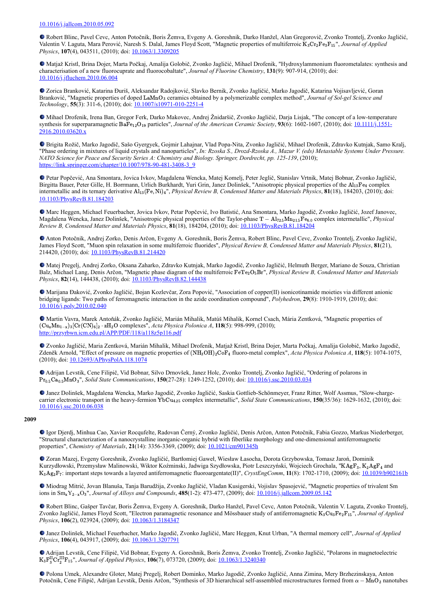Robert Blinc, Pavel Cevc, Anton Potočnik, Boris Žemva, Evgeny A. Goreshnik, Darko Hanžel, Alan Gregorovič, Zvonko Trontelj, Zvonko Jagličić, Valentin V. Laguta, Mara Perović, Naresh S. Dalal, James Floyd Scott, "Magnetic properties of multiferroic K<sub>3</sub>Cr<sub>2</sub>Fe<sub>3</sub>F<sub>15</sub>", Journal of Applied *Physics*, **107**(4), 043511, (2010); doi: [10.1063/1.3309205](http://dx.doi.org/10.1063/1.3309205)

Matjaž Kristl, Brina Dojer, Marta Počkaj, Amalija Golobič, Zvonko Jagličić, Mihael Drofenik, "Hydroxylammonium fluorometalates: synthesis and characterisation of a new fluorocuprate and fluorocobaltate", *Journal of Fluorine Chemistry*, **131**(9): 907-914, (2010); doi: [10.1016/j.jfluchem.2010.06.004](https://dx.doi.org/10.1016/j.jfluchem.2010.06.004)

Zorica Branković, Katarina Đuriš, Aleksandar Radojković, Slavko Bernik, Zvonko Jagličić, Marko Jagodič, Katarina Vojisavljević, Goran Branković, "Magnetic properties of doped LaMnO<sub>3</sub> ceramics obtained by a polymerizable complex method", *Journal of Sol-gel Science and Technology*, **55**(3): 311-6, (2010); doi: [10.1007/s10971-010-2251-4](https://dx.doi.org/10.1007/s10971-010-2251-4)

Mihael Drofenik, Irena Ban, Gregor Ferk, Darko Makovec, Andrej Žnidaršič, Zvonko Jagličić, Darja Lisjak, "The concept of a low-temperature synthesis for superparamagnetic BaFe<sub>12</sub>O<sub>19</sub> particles", *Journal of the American Ceramic Society*, **93**(6): 1602-1607, (2010); doi: 10.1111/j.1551-2916.2010.03620.x

Brigita Rožič, Marko Jagodič, Sašo Gyergyek, Gojmir Lahajnar, Vlad Popa-Nita, Zvonko Jagličić, Mihael Drofenik, Zdravko Kutnjak, Samo Kralj, "Phase ordering in mixtures of liquid crystals and nanoparticles", *In: Rzoska S., Drozd-Rzoska A., Mazur V. (eds) Metastable Systems Under Pressure. NATO Science for Peace and Security Series A: Chemistry and Biology. Springer, Dordrecht, pp. 125-139*, (2010); [https://link.springer.com/chapter/10.1007/978-90-481-3408-3\\_9](https://link.springer.com/chapter/10.1007/978-90-481-3408-3_9)

Petar Popčević, Ana Smontara, Jovica Ivkov, Magdalena Wencka, Matej Komelj, Peter Jeglič, Stanislav Vrtnik, Matej Bobnar, Zvonko Jagličić, Birgitta Bauer, Peter Gille, H. Borrmann, Urlich Burkhardt, Yuri Grin, Janez Dolinšek, "Anisotropic physical properties of the Al13Fe4 complex intermetallic and its ternary derivative  $A_{13}(Fe, Ni)_4$ ", *Physical Review B, Condensed Matter and Materials Physics*, **81**(18), 184203, (2010); doi: [10.1103/PhysRevB.81.184203](https://doi.org/10.1103/PhysRevB.81.184203)

Marc Heggen, Michael Feuerbacher, Jovica Ivkov, Petar Popčević, Ivo Batistić, Ana Smontara, Marko Jagodič, Zvonko Jagličić, Jozef Janovec, Magdalena Wencka, Janez Dolinšek, "Anisotropic physical properties of the Taylor-phase T − Al<sub>72.5</sub>Mn<sub>21.5</sub>Fe<sub>6.0</sub> complex intermetallic", *Physical Review B, Condensed Matter and Materials Physics*, **81**(18), 184204, (2010); doi: [10.1103/PhysRevB.81.184204](https://dx.doi.org/10.1103/PhysRevB.81.184204)

Anton Potočnik, Andrej Zorko, Denis Arčon, Evgeny A. Goreshnik, Boris Žemva, Robert Blinc, Pavel Cevc, Zvonko Trontelj, Zvonko Jagličić, James Floyd Scott, "Muon spin relaxation in some multiferroic fluorides", *Physical Review B, Condensed Matter and Materials Physics*, **81**(21), 214420, (2010); doi: [10.1103/PhysRevB.81.214420](https://doi.org/10.1103/PhysRevB.81.214420)

Matej Pregelj, Andrej Zorko, Oksana Zaharko, Zdravko Kutnjak, Marko Jagodič, Zvonko Jagličić, Helmuth Berger, Mariano de Souza, Christian Balz, Michael Lang, Denis Arčon, "Magnetic phase diagram of the multiferroic FeTe<sub>2</sub>O<sub>5</sub>Br", *Physical Review B, Condensed Matter and Materials Physics*, **82**(14), 144438, (2010); doi: [10.1103/PhysRevB.82.144438](https://doi.org/10.1103/PhysRevB.82.144438)

Marijana Đaković, Zvonko Jagličić, Bojan Kozlevčar, Zora Popović, "Association of copper(II) isonicotinamide moieties via different anionic bridging ligands: Two paths of ferromagnetic interaction in the azide coordination compound", *Polyhedron*, **29**(8): 1910-1919, (2010); doi: [10.1016/j.poly.2010.02.040](https://dx.doi.org/10.1016/j.poly.2010.02.040)

Martin Vavra, Marek Antoňák, Zvonko Jagličić, Marián Mihalik, Matúš Mihalik, Kornel Csach, Mária Zentková, "Magnetic properties of (Cu<sub>x</sub>Mn<sub>1-x</sub>)<sub>3</sub>[Cr(CN)<sub>6</sub>]<sub>2</sub> ⋅ zH<sub>2</sub>O complexes", *Acta Physica Polonica A*, **118**(5): 998-999, (2010); <http://przyrbwn.icm.edu.pl/APP/PDF/118/a118z5p116.pdf>

Zvonko Jagličić, Maria Zentková, Marián Mihalik, Mihael Drofenik, Matjaž Kristl, Brina Dojer, Marta Počkaj, Amalija Golobič, Marko Jagodič, Zdeněk Arnold, "Effect of pressure on magnetic properties of  $(NH_3OH)_2CoF_4$  fluoro-metal complex", *Acta Physica Polonica A*, 118(5): 1074-1075, (2010); doi: [10.12693/APhysPolA.118.1074](http://dx.doi.org/10.12693/APhysPolA.118.1074)

Adrijan Levstik, Cene Filipič, Vid Bobnar, Silvo Drnovšek, Janez Holc, Zvonko Trontelj, Zvonko Jagličić, "Ordering of polarons in Pr<sub>0.5</sub>Ca<sub>0.5</sub>MnO<sub>3</sub>", *Solid State Communications*, **150**(27-28): 1249-1252, (2010); doi: <u>10.1016/j.ssc.2010.03.034</u>

Janez Dolinšek, Magdalena Wencka, Marko Jagodič, Zvonko Jagličić, Saskia Gottlieb-Schönmeyer, Franz Ritter, Wolf Assmus, "Slow-chargecarrier electronic transport in the heavy-fermion YbCu<sub>4.25</sub> complex intermetallic", *Solid State Communications*, **150**(35/36): 1629-1632, (2010); doi: [10.1016/j.ssc.2010.06.038](https://doi.org/10.1016/j.ssc.2010.06.038)

## **2009**

Igor Djerdj, Minhua Cao, Xavier Rocqufelte, Radovan Černý, Zvonko Jagličić, Denis Arčon, Anton Potočnik, Fabia Gozzo, Markus Niederberger, "Structural characterization of a nanocrystalline inorganic-organic hybrid with fiberlike morphology and one-dimensional antiferromagnetic properties", *Chemistry of Materials*, **21**(14): 3356-3369, (2009); doi: [10.1021/cm901345h](https://doi.org/10.1021/cm901345h)

Zoran Mazej, Evgeny Goreshnik, Zvonko Jagličić, Bartłomiej Gaweł, Wiesław Łasocha, Dorota Grzybowska, Tomasz Jaroń, Dominik Kurzydłowski, Przemysław Malinowski, Wiktor Koźminski, Jadwiga Szydłowska, Piotr Leszczyński, Wojciech Grochala, "KAgF<sub>3</sub>, K<sub>2</sub>AgF<sub>4</sub> and K<sub>3</sub>Ag<sub>2</sub>F<sub>7</sub>: important steps towards a layered antiferromagnetic fluoroargentate(II)", *CrystEngComm*, **11**(8): 1702-1710, (2009); doi: [10.1039/b902161b](https://dx.doi.org/10.1039/b902161b)

Miodrag Mitrić, Jovan Blanuša, Tanja Barudžija, Zvonko Jagličić, Vladan Kusigerski, Vojislav Spasojević, "Magnetic properties of trivalent Sm ions in  $\text{Sm}_x Y_{2-x} O_3$ ", *Journal of Alloys and Compounds*, **485**(1-2): 473-477, (2009); doi: <u>[10.1016/j.jallcom.2009.05.142](http://dx.doi.org/10.1016/j.jallcom.2009.05.142)</u>

Robert Blinc, Gašper Tavčar, Boris Žemva, Evgeny A. Goreshnik, Darko Hanžel, Pavel Cevc, Anton Potočnik, Valentin V. Laguta, Zvonko Trontelj, Zvonko Jagličić, James Floyd Scott, "Electron paramagnetic resonance and Mössbauer study of antiferromagnetic K<sub>3</sub>Cu<sub>3</sub>Fe<sub>2</sub>F<sub>15</sub>", *Journal of Applied Physics*, **106**(2), 023924, (2009); doi: **10.1063/1.3184347** 

Janez Dolinšek, Michael Feuerbacher, Marko Jagodič, Zvonko Jagličić, Marc Heggen, Knut Urban, "A thermal memory cell", *Journal of Applied Physics*, 106(4), 043917, (2009); doi: **10.1063/1.3207791** 

Adrijan Levstik, Cene Filipič, Vid Bobnar, Evgeny A. Goreshnik, Boris Žemva, Zvonko Trontelj, Zvonko Jagličić, "Polarons in magnetoelectric  $K_3F_3^{\rm II}$ Cr $_{2}^{\rm III}$ F<sub>15</sub>", *Journal of Applied Physics*, **106**(7), 073720, (2009); doi: <u>10.1063/1.3240340</u>

Polona Umek, Alexandre Gloter, Matej Pregelj, Robert Dominko, Marko Jagodič, Zvonko Jagličić, Anna Zimina, Mery Brzhezinskaya, Anton Potočnik, Cene Filipič, Adrijan Levstik, Denis Arčon, "Synthesis of 3D hierarchical self-assembled microstructures formed from  $\alpha - \overline{MnO_2}$  nanotubes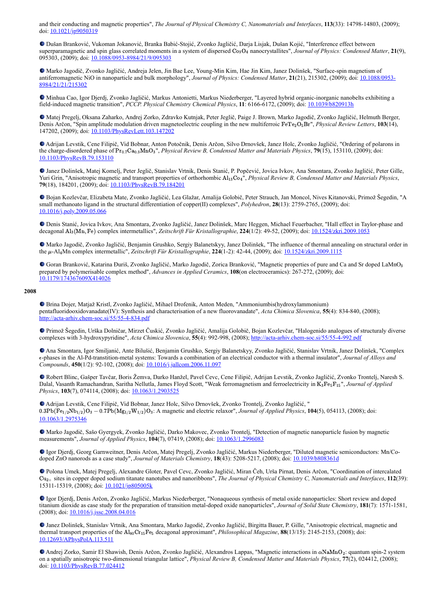and their conducting and magnetic properties", *The Journal of Physical Chemistry C, Nanomaterials and Interfaces*, **113**(33): 14798-14803, (2009); doi: [10.1021/jp9050319](https://doi.org/10.1021/jp9050319)

Dušan Branković, Vukoman Jokanović, Branka Babić-Stojić, Zvonko Jagličić, Darja Lisjak, Dušan Kojić, "Interference effect between superparamagnetic and spin glass correlated moments in a system of dispersed  $Co<sub>3</sub>O<sub>4</sub>$  nanocrystallites", *Journal of Physics: Condensed Matter*, 21(9), 095303, (2009); doi: [10.1088/0953-8984/21/9/095303](https://doi.org/10.1088/0953-8984/21/9/095303)

Marko Jagodič, Zvonko Jagličić, Andreja Jelen, Jin Bae Lee, Young-Min Kim, Hae Jin Kim, Janez Dolinšek, "Surface-spin magnetism of [antiferromagnetic NiO in nanoparticle and bulk morphology",](https://doi.org/10.1088/0953-8984/21/21/215302) *Journal of Physics: Condensed Matter*, **21**(21), 215302, (2009); doi: 10.1088/0953- 8984/21/21/215302

Minhua Cao, Igor Djerdj, Zvonko Jagličić, Markus Antonietti, Markus Niederberger, "Layered hybrid organic-inorganic nanobelts exhibiting a field-induced magnetic transition", *PCCP. Physical Chemistry Chemical Physics*, **11**: 6166-6172, (2009); doi: [10.1039/b820913h](http://dx.doi.org/10.1039/b820913h)

Matej Pregelj, Oksana Zaharko, Andrej Zorko, Zdravko Kutnjak, Peter Jeglič, Paige J. Brown, Marko Jagodič, Zvonko Jagličić, Helmuth Berger, Denis Arčon, "Spin amplitude modulation driven magnetoelectric coupling in the new multiferroic FeTe<sub>2</sub>O<sub>5</sub>Br", *Physical Review Letters*, 103(14), 147202, (2009); doi: [10.1103/PhysRevLett.103.147202](https://doi.org/10.1103/PhysRevLett.103.147202)

Adrijan Levstik, Cene Filipič, Vid Bobnar, Anton Potočnik, Denis Arčon, Silvo Drnovšek, Janez Holc, Zvonko Jagličić, "Ordering of polarons in the charge-disordered phase of Pr<sub>0.7</sub>Ca<sub>0.3</sub>MnO<sub>3</sub>", *Physical Review B, Condensed Matter and Materials Physics*, **79**(15), 153110, (2009); doi: [10.1103/PhysRevB.79.153110](https://doi.org/10.1103/PhysRevB.79.153110)

Janez Dolinšek, Matej Komelj, Peter Jeglič, Stanislav Vrtnik, Denis Stanić, P. Popčević, Jovica Ivkov, Ana Smontara, Zvonko Jagličić, Peter Gille, Yuri Grin, "Anisotropic magnetic and transport properties of orthorhombic Al<sub>13</sub>Co<sub>4</sub>", *Physical Review B, Condensed Matter and Materials Physics*, **79**(18), 184201, (2009); doi: [10.1103/PhysRevB.79.184201](https://doi.org/10.1103/PhysRevB.79.184201)

Bojan Kozlevčar, Elizabeta Mate, Zvonko Jagličić, Lea Glažar, Amalija Golobič, Peter Strauch, Jan Moncol, Nives Kitanovski, Primož Šegedin, "A small methanoato ligand in the structural differentiation of copper(II) complexes", *Polyhedron*, **28**(13): 2759-2765, (2009); doi: [10.1016/j.poly.2009.05.066](https://dx.doi.org/10.1016/j.poly.2009.05.066)

Denis Stanić, Jovica Ivkov, Ana Smontara, Zvonko Jagličić, Janez Dolinšek, Marc Heggen, Michael Feuerbacher, "Hall effect in Taylor-phase and decagonal Al<sub>3</sub>(Mn, Fe) complex intermetallics", Zeitschrift Für Kristallographie, 224(1/2): 49-52, (2009); doi: [10.1524/zkri.2009.1053](https://doi.org/10.1524/zkri.2009.1053)

Marko Jagodič, Zvonko Jagličić, Benjamin Grushko, Sergiy Balanetskyy, Janez Dolinšek, "The influence of thermal annealing on structural order in the μ-Al<sub>4</sub>Mn complex intermetallic", *Zeitschrift Für Kristallographie*, **224**(1-2): 42-44, (2009); doi: [10.1524/zkri.2009.1115](http://dx.doi.org/10.1524/zkri.2009.1115)

Goran Branković, Katarina Đuriš, Zvonko Jagličić, Marko Jagodič, Zorica Branković, "Magnetic properties of pure and Ca and Sr doped LaMnO<sub>3</sub> prepared by polymerisable complex method", *Advances in Applied Ceramics*, **108**(on electroceramics): 267-272, (2009); doi: [10.1179/174367609X414026](http://dx.doi.org/10.1179/174367609X414026)

### **2008**

Brina Dojer, Matjaž Kristl, Zvonko Jagličić, Mihael Drofenik, Anton Meden, "Ammoniumbis(hydroxylammonium) pentafluoridooxidovanadate(IV): Synthesis and characterisation of a new fluorovanadate", *Acta Chimica Slovenica*, **55**(4): 834-840, (2008); <http://acta-arhiv.chem-soc.si/55/55-4-834.pdf>

Primož Šegedin, Urška Dolničar, Mirzet Čuskić, Zvonko Jagličić, Amalija Golobič, Bojan Kozlevčar, "Halogenido analogues of structuraly diverse complexes with 3-hydroxypyridine", *Acta Chimica Slovenica*, **55**(4): 992-998, (2008); <http://acta-arhiv.chem-soc.si/55/55-4-992.pdf>

Ana Smontara, Igor Smiljanić, Ante Bilušić, Benjamin Grushko, Sergiy Balanetskyy, Zvonko Jagličić, Stanislav Vrtnik, Janez Dolinšek, "Complex -phases in the Al-Pd-transtition-metal systems: Towards a combination of an electrical conductor with a thermal insulator", *Journal of Alloys and* ϵ *Compounds*, **450**(1/2): 92-102, (2008); doi: [10.1016/j.jallcom.2006.11.097](https://doi.org/10.1016/j.jallcom.2006.11.097)

Robert Blinc, Gašper Tavčar, Boris Žemva, Darko Hanžel, Pavel Cevc, Cene Filipič, Adrijan Levstik, Zvonko Jagličić, Zvonko Trontelj, Naresh S. Dalal, Vasanth Ramachandran, Saritha Nellutla, James Floyd Scott, "Weak ferromagnetism and ferroelectricity in K<sub>3</sub>Fe<sub>5</sub>F<sub>15</sub>", Journal of Applied *Physics*, **103**(7), 074114, (2008); doi: [10.1063/1.2903525](https://doi.org/10.1063/1.2903525)

Adrijan Levstik, Cene Filipič, Vid Bobnar, Janez Holc, Silvo Drnovšek, Zvonko Trontelj, Zvonko Jagličić, "  $0.3Pb(F_{P1/2}Nb_{1/2})O_3 - 0.7Pb(Mg_{1/2}W_{1/2})O_3$ : A magnetic and electric relaxor", *Journal of Applied Physics*, **104**(5), 054113, (2008); doi: [10.1063/1.2975346](https://dx.doi.org/10.1063/1.2975346)

Marko Jagodič, Sašo Gyergyek, Zvonko Jagličić, Darko Makovec, Zvonko Trontelj, "Detection of magnetic nanoparticle fusion by magnetic measurements", *Journal of Applied Physics*, **104**(7), 07419, (2008); doi: [10.1063/1.2996083](http://dx.doi.org/10.1063/1.2996083)

Igor Djerdj, Georg Garnweitner, Denis Arčon, Matej Pregelj, Zvonko Jagličić, Markus Niederberger, "Diluted magnetic semiconductors: Mn/Codoped ZnO nanorods as a case study", *Journal of Materials Chemistry*, **18**(43): 5208-5217, (2008); doi: [10.1039/b808361d](https://dx.doi.org/10.1039/b808361d)

Polona Umek, Matej Pregelj, Alexandre Gloter, Pavel Cevc, Zvonko Jagličić, Miran Čeh, Urša Pirnat, Denis Arčon, "Coordination of intercalated sites in copper doped sodium titanate nanotubes and nanoribbons", *The Journal of Physical Chemistry C, Nanomaterials and Interfaces*, **112**(39): Cu2+ 15311-15319, (2008); doi: [10.1021/jp805005k](https://dx.doi.org/10.1021/jp805005k)

Igor Djerdj, Denis Arčon, Zvonko Jagličić, Markus Niederberger, "Nonaqueous synthesis of metal oxide nanoparticles: Short review and doped titanium dioxide as case study for the preparation of transition metal-doped oxide nanoparticles", *Journal of Solid State Chemistry*, **181**(7): 1571-1581, (2008); doi: [10.1016/j.jssc.2008.04.016](https://doi.org/10.1016/j.jssc.2008.04.016)

Janez Dolinšek, Stanislav Vrtnik, Ana Smontara, Marko Jagodič, Zvonko Jagličić, Birgitta Bauer, P. Gille, "Anisotropic electrical, magnetic and thermal transport properties of the Al<sub>80</sub>Cr<sub>15</sub>Fe<sub>5</sub> decagonal approximant", *Philosophical Magazine*, **88**(13/15): 2145-2153, (2008); doi: [10.12693/APhysPolA.113.511](http://dx.doi.org/10.12693/APhysPolA.113.511)

Andrej Zorko, Samir El Shawish, Denis Arčon, Zvonko Jagličić, Alexandros Lappas, "Magnetic interactions in αΝaΜnO2: quantum spin-2 system on a spatially anisotropic two-dimensional triangular lattice", *Physical Review B, Condensed Matter and Materials Physics*, **77**(2), 024412, (2008); doi: [10.1103/PhysRevB.77.024412](https://dx.doi.org/10.1103/PhysRevB.77.024412)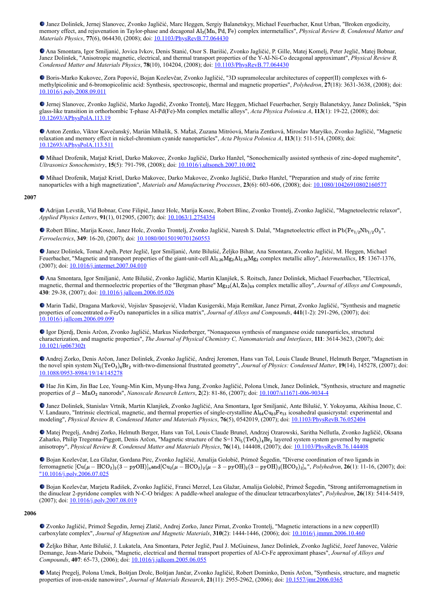Janez Dolinšek, Jernej Slanovec, Zvonko Jagličić, Marc Heggen, Sergiy Balanetskyy, Michael Feuerbacher, Knut Urban, "Broken ergodicity, memory effect, and rejuvenation in Taylor-phase and decagonal Al<sub>3</sub>(Mn, Pd, Fe) complex intermetallics", *Physical Review B, Condensed Matter and Materials Physics*, **77**(6), 064430, (2008); doi: [10.1103/PhysRevB.77.064430](https://doi.org/10.1103/PhysRevB.77.064430)

Ana Smontara, Igor Smiljanić, Jovica Ivkov, Denis Stanić, Osor S. Barišić, Zvonko Jagličić, P. Gille, Matej Komelj, Peter Jeglič, Matej Bobnar, Janez Dolinšek, "Anisotropic magnetic, electrical, and thermal transport properties of the Y-Al-Ni-Co decagonal approximant", *Physical Review B, Condensed Matter and Materials Physics*, **78**(10), 104204, (2008); doi: [10.1103/PhysRevB.77.064430](https://doi.org/10.1103/PhysRevB.77.064430)

Boris-Marko Kukovec, Zora Popović, Bojan Kozlevčar, Zvonko Jagličić, "3D supramolecular architectures of copper(II) complexes with 6 methylpicolinic and 6-bromopicolinic acid: Synthesis, spectroscopic, thermal and magnetic properties", *Polyhedron*, **27**(18): 3631-3638, (2008); doi: [10.1016/j.poly.2008.09.011](https://doi.org/10.1016/j.poly.2008.09.011)

Jernej Slanovec, Zvonko Jagličić, Marko Jagodič, Zvonko Trontelj, Marc Heggen, Michael Feuerbacher, Sergiy Balanetskyy, Janez Dolinšek, "Spin glass-like transition in orthorhombic T-phase Al-Pd(Fe)-Mn complex metallic alloys", *Acta Physica Polonica A*, **113**(1): 19-22, (2008); doi: [10.12693/APhysPolA.113.19](http://dx.doi.org/10.12693/APhysPolA.113.19)

Anton Zentko, Viktor Kavečanský, Marián Mihalik, S. Maṫaš, Zuzana Mitróová, Maria Zentková, Miroslav Maryško, Zvonko Jagličić, "Magnetic relaxation and memory effect in nickel-chromium cyanide nanoparticles", *Acta Physica Polonica A*, **113**(1): 511-514, (2008); doi: [10.12693/APhysPolA.113.511](http://dx.doi.org/10.12693/APhysPolA.113.511)

Mihael Drofenik, Matjaž Kristl, Darko Makovec, Zvonko Jagličić, Darko Hanžel, "Sonochemically assisted synthesis of zinc-doped maghemite", *Ultrasonics Sonochemistry*, **15**(5): 791-798, (2008); doi: [10.1016/j.ultsonch.2007.10.002](https://doi.org/10.1016/j.ultsonch.2007.10.002)

Mihael Drofenik, Matjaž Kristl, Darko Makovec, Darko Makovec, Zvonko Jagličić, Darko Hanžel, "Preparation and study of zinc ferrite nanoparticles with a high magnetization", *Materials and Manufacturing Processes*, **23**(6): 603-606, (2008); doi: [10.1080/10426910802160577](https://doi.org/10.1080/10426910802160577)

### **2007**

Adrijan Levstik, Vid Bobnar, Cene Filipič, Janez Holc, Marija Kosec, Robert Blinc, Zvonko Trontelj, Zvonko Jagličić, "Magnetoelectric relaxor", *Applied Physics Letters*, **91**(1), 012905, (2007); doi: [10.1063/1.2754354](https://doi.org/10.1063/1.2754354)

Robert Blinc, Marija Kosec, Janez Holc, Zvonko Trontelj, Zvonko Jagličić, Naresh S. Dalal, "Magnetoelectric effect in Pb(Fe<sub>1/2</sub>Nb<sub>1/2</sub>O<sub>3</sub>", *Ferroelectrics*, **349**: 16-20, (2007); doi: [10.1080/00150190701260553](https://dx.doi.org/10.1080/00150190701260553)

Janez Dolinšek, Tomaž Apih, Peter Jeglič, Igor Smiljanić, Ante Bilušić, Željko Bihar, Ana Smontara, Zvonko Jagličić, M. Heggen, Michael Feuerbacher, "Magnetic and transport properties of the giant-unit-cell Al<sub>3.26</sub>Mg<sub>2</sub>Al<sub>3.26</sub>Mg<sub>2</sub> complex metallic alloy", *Intermetallics*, **15**: 1367-1376, (2007); doi: [10.1016/j.intermet.2007.04.010](https://doi.org/10.1016/j.intermet.2007.04.010)

Ana Smontara, Igor Smiljanić, Ante Bilušić, Zvonko Jagličić, Martin Klanjšek, S. Roitsch, Janez Dolinšek, Michael Feuerbacher, "Electrical, magnetic, thermal and thermoelectric properties of the "Bergman phase"  $Mg_{32}(A, Zn)_{49}$  complex metallic alloy", *Journal of Alloys and Compounds*, **430**: 29-38, (2007); doi: [10.1016/j.jallcom.2006.05.026](https://doi.org/10.1016/j.jallcom.2006.05.026)

Marin Tadić, Dragana Marković, Vojislav Spasojević, Vladan Kusigerski, Maja Remškar, Janez Pirnat, Zvonko Jagličić, "Synthesis and magnetic properties of concentrated α-Fe<sub>2</sub>O<sub>3</sub> nanoparticles in a silica matrix", *Journal of Alloys and Compounds*, 441(1-2): 291-296, (2007); doi: [10.1016/j.jallcom.2006.09.099](https://doi.org/10.1016/j.jallcom.2006.09.099)

Igor Djerdj, Denis Arčon, Zvonko Jagličić, Markus Niederberger, "Nonaqueous synthesis of manganese oxide nanoparticles, structural characterization, and magnetic properties", *The Journal of Physical Chemistry C, Nanomaterials and Interfaces*, **111**: 3614-3623, (2007); doi: [10.1021/jp067302t](https://doi.org/10.1021/jp067302t)

Andrej Zorko, Denis Arčon, Janez Dolinšek, Zvonko Jagličić, Andrej Jeromen, Hans van Tol, Louis Claude Brunel, Helmuth Berger, "Magnetism in the novel spin system  $\text{Ni}_5(\text{TeO}_3)_4\text{Br}_2$  with-two-dimensional frustrated geometry", *Journal of Physics: Condensed Matter*, **19**(14), 145278, (2007); doi: [10.1088/0953-8984/19/14/145278](https://doi.org/10.1088/0953-8984/19/14/145278)

Hae Jin Kim, Jin Bae Lee, Young-Min Kim, Myung-Hwa Jung, Zvonko Jagličić, Polona Umek, Janez Dolinšek, "Synthesis, structure and magnetic properties of  $β - MnO<sub>2</sub>$  nanorods", *Nanoscale Research Letters*, **2**(2): 81-86, (2007); doi: <u>[10.1007/s11671-006-9034-4](https://doi.org/10.1007/s11671-006-9034-4)</u>

Janez Dolinšek, Stanislav Vrtnik, Martin Klanjšek, Zvonko Jagličić, Ana Smontara, Igor Smiljanić, Ante Bilušić, Y. Yokoyama, Akihisa Inoue, C. V. Landauro, "Intrinsic electrical, magnetic, and thermal properties of single-crystalline  $\overline{A}l_{64}Cu_{23}Fe_{13}$  icosahedral quasicrystal: experimental and modeling", *Physical Review B, Condensed Matter and Materials Physics*, **76**(5), 0542019, (2007); doi: [10.1103/PhysRevB.76.052404](https://doi.org/10.1103/PhysRevB.76.052404)

Matej Pregelj, Andrej Zorko, Helmuth Berger, Hans van Tol, Louis Claude Brunel, Andrzej Ozarowski, Saritha Nellutla, Zvonko Jagličič, Oksana Zaharko, Philip Tregenna-Piggott, Denis Arčon, "Magnetic structure of the S=1  $\text{Ni}_5(\text{TeO}_3)_4\text{Br}_2$  layered system system governed by magnetic anisotropy", *Physical Review B, Condensed Matter and Materials Physics*, **76**(14), 144408, (2007); doi: [10.1103/PhysRevB.76.144408](https://dx.doi.org/10.1103/PhysRevB.76.144408)

Bojan Kozlevčar, Lea Glažar, Gordana Pirc, Zvonko Jagličić, Amalija Golobič, Primož Šegedin, "Diverse coordination of two ligands in ferromagnetic  $[Cu(\mu - HCO_2)_2(3 - pyOH)]_n$ and $[Cu_2(\mu - HCO_2)_2(\mu - 3 - pyOH)_2(3 - pyOH)_2(HCO_2)_2]_n$ ", *Polyhedron*, **26**(1): 11-16, (2007); doi: ["10.1016/j.poly.2006.07.025](https://doi.org/10.1016/j.poly.2006.07.025)

Bojan Kozlevčar, Marjeta Radišek, Zvonko Jagličić, Franci Merzel, Lea Glažar, Amalija Golobič, Primož Šegedin, "Strong antiferromagnetism in the dinuclear 2-pyridone complex with N-C-O bridges: A paddle-wheel analogue of the dinuclear tetracarboxylates", *Polyhedron*, **26**(18): 5414-5419, (2007); doi: [10.1016/j.poly.2007.08.019](https://doi.org/10.1016/j.poly.2007.08.019)

### **2006**

Zvonko Jagličić, Primož Šegedin, Jernej Zlatič, Andrej Zorko, Janez Pirnat, Zvonko Trontelj, "Magnetic interactions in a new copper(II) carboxylate complex", *Journal of Magnetism and Magnetic Materials*, **310**(2): 1444-1446, (2006); doi: [10.1016/j.jmmm.2006.10.460](https://dx.doi.org/10.1016/j.jmmm.2006.10.460)

Željko Bihar, Ante Bilušić, J. Lukatela, Ana Smontara, Peter Jeglič, Paul J. McGuiness, Janez Dolinšek, Zvonko Jagličić, Jozef Janovec, Valérie Demange, Jean-Marie Dubois, "Magnetic, electrical and thermal transport properties of Al-Cr-Fe approximant phases", *Journal of Alloys and Compounds*, **407**: 65-73, (2006); doi: [10.1016/j.jallcom.2005.06.055](https://doi.org/10.1016/j.jallcom.2005.06.055%22)

Matej Pregelj, Polona Umek, Boštjan Drolc, Boštjan Jančar, Zvonko Jagličić, Robert Dominko, Denis Arčon, "Synthesis, structure, and magnetic properties of iron-oxide nanowires", *Journal of Materials Research*, **21**(11): 2955-2962, (2006); doi: [10.1557/jmr.2006.0365](https://doi.org/10.1557/jmr.2006.0365)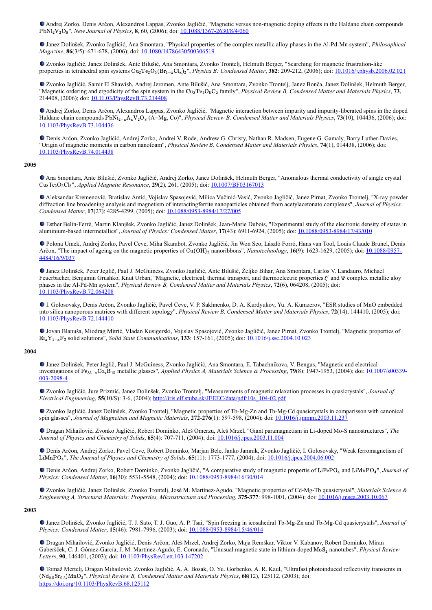Andrej Zorko, Denis Arčon, Alexandros Lappas, Zvonko Jagličić, "Magnetic versus non-magnetic doping effects in the Haldane chain compounds PbNi<sub>2</sub>V<sub>2</sub>O<sub>8</sub>", *New Journal of Physics*, 8, 60, (2006); doi: [10.1088/1367-2630/8/4/060](https://doi.org/10.1088/1367-2630/8/4/060)

Janez Dolinšek, Zvonko Jagličić, Ana Smontara, "Physical properties of the complex metallic alloy phases in the Al-Pd-Mn system", *Philosophical Magazine*, **86**(3/5): 671-678, (2006); doi: [10.1080/14786430500306519](https://doi.org/10.1080/14786430500306519)

Zvonko Jagličić, Janez Dolinšek, Ante Bilušić, Ana Smontara, Zvonko Trontelj, Helmuth Berger, "Searching for magnetic frustration-like properties in tetrahedral spin systems Cu<sub>2</sub>Te<sub>2</sub>O<sub>5</sub>(Br<sub>1-x</sub>Cl<sub>x</sub>)<sub>2</sub>", *Physica B: Condensed Matter*, **382**: 209-212, (2006); doi: [10.1016/j.physb.2006.02.021](https://doi.org/10.1016/j.physb.2006.02.021)

Zvonko Jagličić, Samir El Shawish, Andrej Jeromen, Ante Bilušić, Ana Smontara, Zvonko Trontelj, Janez Bonča, Janez Dolinšek, Helmuth Berger, "Magnetic ordering and ergodicity of the spin system in the Cu<sub>2</sub>Te<sub>2</sub>O<sub>5</sub>C<sub>2</sub> family", *Physical Review B, Condensed Matter and Materials Physics*, **73**, 214408, (2006); doi: [10.11.03/PhysRevB.73.214408](https://dx.doi.org/10.11.03/PhysRevB.73.214408)

Andrej Zorko, Denis Arčon, Alexandros Lappas, Zvonko Jagličić, "Magnetic interaction between impurity and impurity-liberated spins in the doped Haldane chain compounds PbNi<sub>2−x</sub>A<sub>x</sub>V<sub>2</sub>O<sub>8</sub> (A=Mg, Co)", *Physical Review B, Condensed Matter and Materials Physics*, **73**(10), 104436, (2006); doi: [10.1103/PhysRevB.73.104436](https://doi.org/10.1103/PhysRevB.73.104436)

Denis Arčon, Zvonko Jagličić, Andrej Zorko, Andrei V. Rode, Andrew G. Christy, Nathan R. Madsen, Eugene G. Gamaly, Barry Luther-Davies, "Origin of magnetic moments in carbon nanofoam", *Physical Review B, Condensed Matter and Materials Physics*, **74**(1), 014438, (2006); doi: [10.1103/PhysRevB.74.014438](https://doi.org/10.1103/PhysRevB.74.014438)

### **2005**

Ana Smontara, Ante Bilušić, Zvonko Jagličić, Andrej Zorko, Janez Dolinšek, Helmuth Berger, "Anomalous thermal conductivity of single crystal Cu<sub>2</sub>Te<sub>2</sub>O<sub>5</sub>Cl<sub>2</sub>", *Applied Magnetic Resonance*, **29**(2), 261, (2005); doi: [10.1007/BF03167013](https://doi.org/10.1007/BF03167013)

Aleksandar Kremenović, Bratislav Antić, Vojislav Spasojević, Milica Vučinić-Vasić, Zvonko Jagličić, Janez Pirnat, Zvonko Trontelj, "X-ray powder diffraction line broadening analysis and magnetism of interactingferrite nanoparticles obtained from acetylacetonato complexes", *Journal of Physics: Condensed Matter*, **17**(27): 4285-4299, (2005); doi: [10.1088/0953-8984/17/27/005](https://doi.org/10.1088/0953-8984/17/27/005)

Esther Belin-Ferré, Martin Klanjšek, Zvonko Jagličić, Janez Dolinšek, Jean-Marie Dubois, "Experimental study of the electronic density of states in aluminium-based intermetallics", *Journal of Physics: Condensed Matter*, **17**(43): 6911-6924, (2005); doi: [10.1088/0953-8984/17/43/010](https://doi.org/10.1088/0953-8984/17/43/010)

Polona Umek, Andrej Zorko, Pavel Cevc, Miha Škarabot, Zvonko Jagličić, Jin Won Seo, László Forró, Hans van Tool, Louis Claude Brunel, Denis Arčon, "The impact of ageing on the magnetic properties of Cu(OH)<sub>2</sub> nanoribbons", *Nanotechnology*, **16**(9): 1623-1629, (2005); doi: 10.1088/0957-4484/16/9/037

Janez Dolinšek, Peter Jeglič, Paul J. McGuiness, Zvonko Jagličić, Ante Bilušić, Željko Bihar, Ana Smontara, Carlos V. Landauro, Michael Feuerbacher, Benjamin Grushko, Knut Urban, "Magnetic, electrical, thermal transport, and thermoelectric properties  $\xi'$  and  $\Psi$  complex metallic aloy phases in the Al-Pd-Mn system", *Physical Review B, Condensed Matter and Materials Physics*, **72**(6), 064208, (2005); doi: [10.1103/PhysRevB.72.064208](https://doi.org/10.1103/PhysRevB.72.064208)

I. Golosovsky, Denis Arčon, Zvonko Jagličić, Pavel Cevc, V. P. Sakhnenko, D. A. Kurdyukov, Yu. A. Kumzerov, "ESR studies of MnO embedded into silica nanoporous matrices with different topology", *Physical Review B, Condensed Matter and Materials Physics*, **72**(14), 144410, (2005); doi: [10.1103/PhysRevB.72.144410](https://doi.org/10.1103/PhysRevB.72.144410)

Jovan Blanuša, Miodrag Mitrić, Vladan Kusigerski, Vojislav Spasojević, Zvonko Jagličić, Janez Pirnat, Zvonko Trontelj, "Magnetic properties of Er<sub>x</sub>Y<sub>1-x</sub>F<sub>3</sub> solid solutions", *Solid State Communications*, **133**: 157-161, (2005); doi: <u>[10.1016/j.ssc.2004.10.023](https://doi.org/10.1016/j.ssc.2004.10.023)</u>

### **2004**

Janez Dolinšek, Peter Jeglič, Paul J. McGuiness, Zvonko Jagličić, Ana Smontara, E. Tabachnikova, V. Bengus, "Magnetic and electrical investigations of Fe<sub>85-x</sub>Co<sub>x</sub>B<sub>15</sub> metallic glasses", *[Applied Physics A, Materials Science & Processing](https://doi.org/10.1007/s00339-003-2098-4)*, **79**(8): 1947-1953, (2004); doi: 10.1007/s00339-003-2098-4

Zvonko Jagličić, Jure Prizmič, Janez Dolinšek, Zvonko Trontelj, "Measurements of magnetic relaxation processes in quasicrystals", *Journal of Electrical Engineering*, **55**(10/S): 3-6, (2004); [http://iris.elf.stuba.sk/JEEEC/data/pdf/10s\\_104-02.pdf](http://iris.elf.stuba.sk/JEEEC/data/pdf/10s_104-02.pdf)

Zvonko Jagličić, Janez Dolinšek, Zvonko Trontelj, "Magnetic properties of Tb-Mg-Zn and Tb-Mg-Cd quasicrystals in comparisson with canonical spin glasses", *Journal of Magnetism and Magnetic Materials*, **272-276**(1): 597-598, (2004); doi: [10.1016/j.jmmm.2003.11.237](https://doi.org/10.1016/j.jmmm.2003.11.237)

Dragan Mihailović, Zvonko Jagličić, Robert Dominko, Aleš Omerzu, Aleš Mrzel, "Giant paramagnetism in Li-doped Mo-S nanostructures", *The Journal of Physics and Chemistry of Solids*, **65**(4): 707-711, (2004); doi: [10.1016/j.jpcs.2003.11.004](https://doi.org/10.1016/j.jpcs.2003.11.004)

Denis Arčon, Andrej Zorko, Pavel Cevc, Robert Dominko, Marjan Bele, Janko Jamnik, Zvonko Jagličić, I. Golosovsky, "Weak ferromagnetism of LiMnPO<sub>4</sub>", *The Journal of Physics and Chemistry of Solids*, **65**(11): 1773-1777, (2004); doi: [10.1016/j.jpcs.2004.06.002](https://doi.org/10.1016/j.jpcs.2004.06.002)

Denis Arčon, Andrej Zorko, Robert Dominko, Zvonko Jagličić, "A comparative study of magnetic propertis of LiFePO<sub>4</sub> and LiMnPO<sub>4</sub>", *Journal of Physics: Condensed Matter*, **16**(30): 5531-5548, (2004); doi: [10.1088/0953-8984/16/30/014](https://doi.org/10.1088/0953-8984/16/30/014)

Zvonko Jagličić, Janez Dolinšek, Zvonko Trontelj, José M. Martínez-Agudo, "Magnetic properties of Cd-Mg-Tb quasicrystal", *Materials Science & Engineering A, Structural Materials: Properties, Microstructure and Processing*, **375-377**: 998-1001, (2004); doi: [10.1016/j.msea.2003.10.067](https://doi.org/10.1016/j.msea.2003.10.067)

### **2003**

Janez Dolinšek, Zvonko Jagličić, T. J. Sato, T. J. Guo, A. P. Tsai, "Spin freezing in icosahedral Tb-Mg-Zn and Tb-Mg-Cd quasicrystals", *Journal of Physics: Condensed Matter*, **15**(46): 7981-7996, (2003); doi: [10.1088/0953-8984/15/46/014](https://doi.org/10.1088/0953-8984/15/46/014)

Dragan Mihailović, Zvonko Jagličić, Denis Arčon, Aleš Mrzel, Andrej Zorko, Maja Remškar, Viktor V. Kabanov, Robert Dominko, Miran Gaberšček, C. J. Gómez-García, J. M. Martínez-Agudo, E. Coronado, "Unusual magnetic state in lithium-doped MoS<sub>2</sub> nanotubes", Physical Review *Letters*, **90**, 146401, (2003); doi: [10.1103/PhysRevLett.103.147202](https://doi.org/10.1103/PhysRevLett.103.147202)

Tomaž Mertelj, Dragan Mihailović, Zvonko Jagličić, A. A. Bosak, O. Yu. Gorbenko, A. R. Kaul, "Ultrafast photoinduced reflectivity transients in (Nd<sub>0.5</sub>Sr<sub>0.5</sub>)MnO<sub>3</sub>", *Physical Review B, Condensed Matter and Materials Physics*, **68**(12), 125112, (2003); doi: <https://doi.org/10.1103/PhysRevB.68.125112>